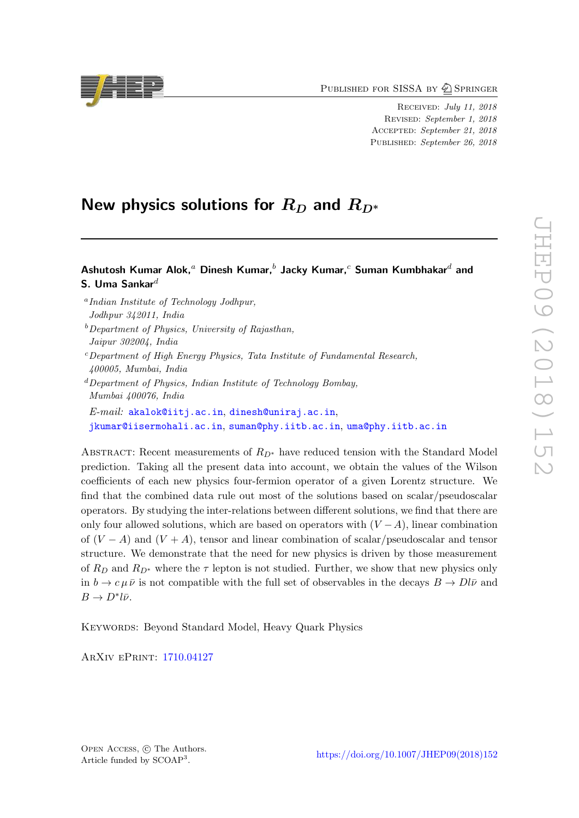PUBLISHED FOR SISSA BY 2 SPRINGER

RECEIVED: July 11, 2018 REVISED: September 1, 2018 ACCEPTED: September 21, 2018 PUBLISHED: September 26, 2018

# New physics solutions for  $R_D$  and  $R_{D^\ast}$

# Ashutosh Kumar Alok, $^a$  Dinesh Kumar, $^b$  Jacky Kumar, $^c$  Suman Kumbhakar $^d$  and S. Uma Sankar $^d$

a Indian Institute of Technology Jodhpur, Jodhpur 342011, India  $b$ Department of Physics, University of Rajasthan, Jaipur 302004, India  $c$ Department of High Energy Physics, Tata Institute of Fundamental Research, 400005, Mumbai, India  ${}^{d}$ Department of Physics, Indian Institute of Technology Bombay, Mumbai 400076, India  $E\text{-}mail: \texttt{akalok} \texttt{0} \texttt{i} \texttt{ti} \texttt{,} \texttt{ac.in}, \texttt{dines} \texttt{h} \texttt{0} \texttt{uniraj.ac.in},$ [jkumar@iisermohali.ac.in](mailto:jkumar@iisermohali.ac.in), [suman@phy.iitb.ac.in](mailto:suman@phy.iitb.ac.in), [uma@phy.iitb.ac.in](mailto:uma@phy.iitb.ac.in)

ABSTRACT: Recent measurements of  $R_{D^*}$  have reduced tension with the Standard Model prediction. Taking all the present data into account, we obtain the values of the Wilson coefficients of each new physics four-fermion operator of a given Lorentz structure. We find that the combined data rule out most of the solutions based on scalar/pseudoscalar operators. By studying the inter-relations between different solutions, we find that there are only four allowed solutions, which are based on operators with  $(V - A)$ , linear combination of  $(V - A)$  and  $(V + A)$ , tensor and linear combination of scalar/pseudoscalar and tensor structure. We demonstrate that the need for new physics is driven by those measurement of  $R_D$  and  $R_{D^*}$  where the  $\tau$  lepton is not studied. Further, we show that new physics only in  $b \to c \mu \bar{\nu}$  is not compatible with the full set of observables in the decays  $B \to D l \bar{\nu}$  and  $B \to D^* l \bar{\nu}.$ 

Keywords: Beyond Standard Model, Heavy Quark Physics

ArXiv ePrint: [1710.04127](https://arxiv.org/abs/1710.04127)

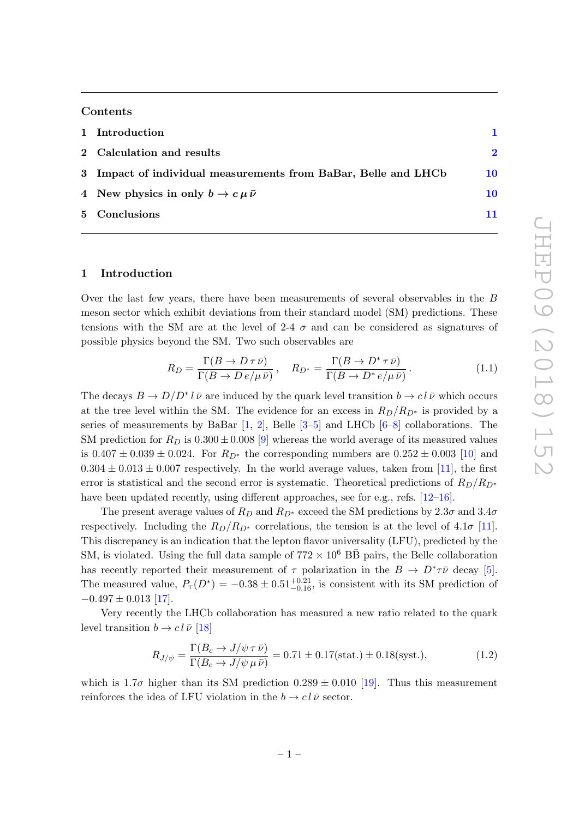#### Contents

| 1 Introduction                                                 |             |
|----------------------------------------------------------------|-------------|
| 2 Calculation and results                                      | $\mathbf 2$ |
| 3 Impact of individual measurements from BaBar, Belle and LHCb | 10          |
| 4 New physics in only $b \to c \mu \bar{\nu}$                  | 10          |
| 5 Conclusions                                                  |             |

## <span id="page-1-0"></span>1 Introduction

Over the last few years, there have been measurements of several observables in the B meson sector which exhibit deviations from their standard model (SM) predictions. These tensions with the SM are at the level of 2-4  $\sigma$  and can be considered as signatures of possible physics beyond the SM. Two such observables are

$$
R_D = \frac{\Gamma(B \to D \tau \bar{\nu})}{\Gamma(B \to D e / \mu \bar{\nu})}, \quad R_{D^*} = \frac{\Gamma(B \to D^* \tau \bar{\nu})}{\Gamma(B \to D^* e / \mu \bar{\nu})}.
$$
(1.1)

The decays  $B \to D/D^* l \bar{\nu}$  are induced by the quark level transition  $b \to c l \bar{\nu}$  which occurs at the tree level within the SM. The evidence for an excess in  $R_D/R_{D^*}$  is provided by a series of measurements by BaBar [[1](#page-12-0), [2\]](#page-12-1), Belle [[3](#page-12-2)–[5\]](#page-13-0) and LHCb [[6](#page-13-1)–[8\]](#page-13-2) collaborations. The SM prediction for  $R_D$  is  $0.300 \pm 0.008$  [[9\]](#page-13-3) whereas the world average of its measured values is  $0.407 \pm 0.039 \pm 0.024$ . For  $R_{D^*}$  the corresponding numbers are  $0.252 \pm 0.003$  [\[10\]](#page-13-4) and  $0.304 \pm 0.013 \pm 0.007$  respectively. In the world average values, taken from [\[11\]](#page-13-5), the first error is statistical and the second error is systematic. Theoretical predictions of  $R_D/R_{D*}$ have been updated recently, using different approaches, see for e.g., refs. [\[12](#page-13-6)[–16\]](#page-13-7).

The present average values of  $R_D$  and  $R_{D^*}$  exceed the SM predictions by  $2.3\sigma$  and  $3.4\sigma$ respectively. Including the  $R_D/R_{D^*}$  correlations, the tension is at the level of 4.1 $\sigma$  [\[11\]](#page-13-5). This discrepancy is an indication that the lepton flavor universality (LFU), predicted by the SM, is violated. Using the full data sample of  $772 \times 10^6$  BB pairs, the Belle collaboration has recently reported their measurement of  $\tau$  polarization in the  $B \to D^* \tau \bar{\nu}$  decay [[5\]](#page-13-0). The measured value,  $P_\tau(D^*) = -0.38 \pm 0.51_{-0.16}^{+0.21}$ , is consistent with its SM prediction of  $-0.497 \pm 0.013$  [\[17\]](#page-13-8).

Very recently the LHCb collaboration has measured a new ratio related to the quark level transition  $b \to c l \bar{\nu}$  [\[18](#page-13-9)]

$$
R_{J/\psi} = \frac{\Gamma(B_c \to J/\psi \,\tau \,\bar{\nu})}{\Gamma(B_c \to J/\psi \,\mu \,\bar{\nu})} = 0.71 \pm 0.17 \text{(stat.)} \pm 0.18 \text{(syst.),} \tag{1.2}
$$

which is  $1.7\sigma$  higher than its SM prediction  $0.289 \pm 0.010$  [\[19\]](#page-13-10). Thus this measurement reinforces the idea of LFU violation in the  $b \to c l \bar{\nu}$  sector.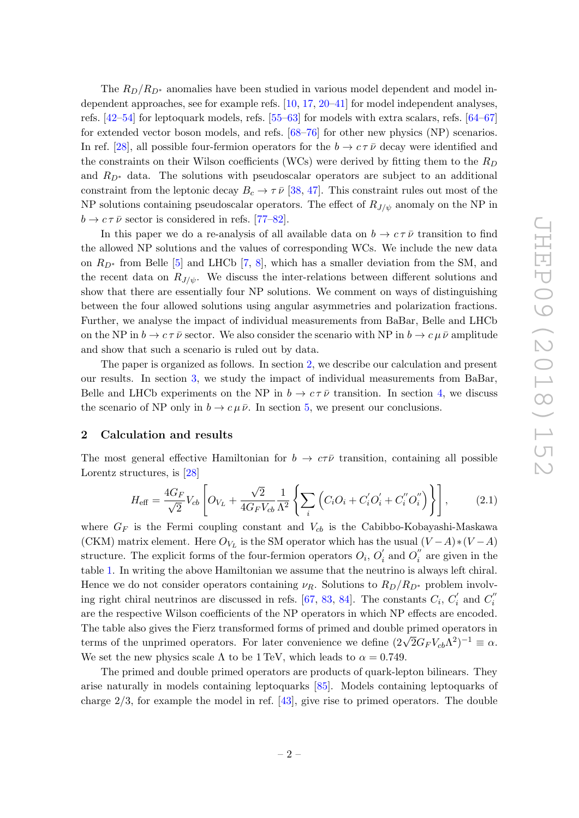The  $R_D/R_{D^*}$  anomalies have been studied in various model dependent and model independent approaches, see for example refs. [\[10,](#page-13-4) [17,](#page-13-8) [20](#page-13-11)[–41\]](#page-15-0) for model independent analyses, refs. [\[42](#page-15-1) [–54\]](#page-15-2) for leptoquark models, refs. [\[55](#page-15-3) [–63\]](#page-16-0) for models with extra scalars, refs. [\[64](#page-16-1) [–67](#page-16-2) ] for extended vector boson models, and refs. [\[68](#page-16-3) [–76\]](#page-16-4) for other new physics (NP) scenarios. In ref. [\[28\]](#page-14-0), all possible four-fermion operators for the  $b \to c \tau \bar{\nu}$  decay were identified and the constraints on their Wilson coefficients (WCs) were derived by fitting them to the  $R_D$ and  $R_{D^*}$  data. The solutions with pseudoscalar operators are subject to an additional constraint from the leptonic decay  $B_c \to \tau \bar{\nu}$  [\[38](#page-14-1), [47\]](#page-15-4). This constraint rules out most of the NP solutions containing pseudoscalar operators. The effect of  $R_{J/\psi}$  anomaly on the NP in  $b \to c \tau \bar{\nu}$  sector is considered in refs. [\[77](#page-17-0)[–82\]](#page-17-1).

In this paper we do a re-analysis of all available data on  $b \to c \tau \bar{\nu}$  transition to find the allowed NP solutions and the values of corresponding WCs. We include the new data on  $R_{D^*}$  from Belle [[5\]](#page-13-0) and LHCb [[7](#page-13-12), [8\]](#page-13-2), which has a smaller deviation from the SM, and the recent data on  $R_{J/\psi}$ . We discuss the inter-relations between different solutions and show that there are essentially four NP solutions. We comment on ways of distinguishing between the four allowed solutions using angular asymmetries and polarization fractions. Further, we analyse the impact of individual measurements from BaBar, Belle and LHCb on the NP in  $b \to c \tau \bar{\nu}$  sector. We also consider the scenario with NP in  $b \to c \mu \bar{\nu}$  amplitude and show that such a scenario is ruled out by data.

The paper is organized as follows. In section [2,](#page-2-0) we describe our calculation and present our results. In section [3,](#page-10-0) we study the impact of individual measurements from BaBar, Belle and LHCb experiments on the NP in  $b \to c \tau \bar{\nu}$  transition. In section [4,](#page-10-1) we discuss the scenario of NP only in  $b \to c \mu \bar{\nu}$ . In section [5,](#page-11-0) we present our conclusions.

#### <span id="page-2-0"></span>2 Calculation and results

The most general effective Hamiltonian for  $b \to c\tau\bar{\nu}$  transition, containing all possible Lorentz structures, is [\[28](#page-14-0)]

<span id="page-2-1"></span>
$$
H_{\text{eff}} = \frac{4G_F}{\sqrt{2}} V_{cb} \left[ O_{V_L} + \frac{\sqrt{2}}{4G_F V_{cb}} \frac{1}{\Lambda^2} \left\{ \sum_i \left( C_i O_i + C_i' O_i' + C_i'' O_i'' \right) \right\} \right],
$$
 (2.1)

where  $G_F$  is the Fermi coupling constant and  $V_{cb}$  is the Cabibbo-Kobayashi-Maskawa (CKM) matrix element. Here  $O_{V_L}$  is the SM operator which has the usual  $(V-A)*(V-A)$ structure. The explicit forms of the four-fermion operators  $O_i$ ,  $O'_i$  $o'_i$  and  $O''_i$  $i$ <sup>"</sup> are given in the table [1.](#page-3-0) In writing the above Hamiltonian we assume that the neutrino is always left chiral. Hence we do not consider operators containing  $\nu_R$ . Solutions to  $R_D/R_{D^*}$  problem involv-ing right chiral neutrinos are discussed in refs. [\[67,](#page-16-2) [83,](#page-17-2) [84\]](#page-17-3). The constants  $C_i$ ,  $C'_i$  and  $C''_i$ i are the respective Wilson coefficients of the NP operators in which NP effects are encoded. The table also gives the Fierz transformed forms of primed and double primed operators in terms of the unprimed operators. For later convenience we define  $(2\sqrt{2}G_FV_{cb}\Lambda^2)^{-1} \equiv \alpha$ . We set the new physics scale  $\Lambda$  to be 1 TeV, which leads to  $\alpha = 0.749$ .

The primed and double primed operators are products of quark-lepton bilinears. They arise naturally in models containing leptoquarks [\[85\]](#page-17-4). Models containing leptoquarks of charge 2 /3, for example the model in ref. [\[43\]](#page-15-5), give rise to primed operators. The double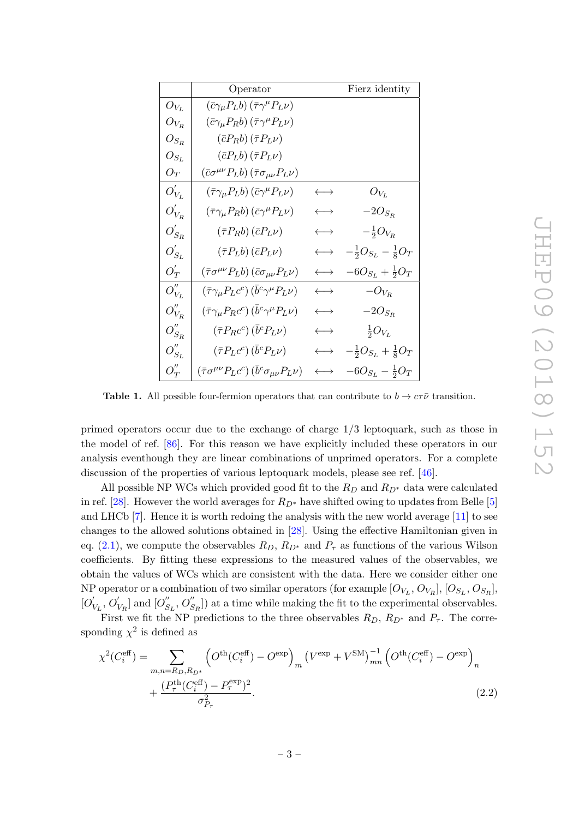<span id="page-3-0"></span>

|                      | Operator                                                                                    | Fierz identity        |                                        |  |  |
|----------------------|---------------------------------------------------------------------------------------------|-----------------------|----------------------------------------|--|--|
| $O_{V_L}$            | $(\bar{c}\gamma_\mu P_L b)(\bar{\tau}\gamma^\mu P_L \nu)$                                   |                       |                                        |  |  |
| ${\cal O}_{V_R}$     | $(\bar{c}\gamma_\mu P_R b)(\bar{\tau}\gamma^\mu P_L \nu)$                                   |                       |                                        |  |  |
| ${\cal O}_{S_R}$     | $(\bar{c}P_Rb)(\bar{\tau}P_L\nu)$                                                           |                       |                                        |  |  |
| ${\cal O}_{S_L}$     | $(\bar{c}P_Lb)(\bar{\tau}P_L\nu)$                                                           |                       |                                        |  |  |
| $O_T$                | $(\bar{c}\sigma^{\mu\nu}P_Lb)(\bar{\tau}\sigma_{\mu\nu}P_L\nu)$                             |                       |                                        |  |  |
| $O'_{V_L}$           | $(\bar{\tau}\gamma_{\mu}P_{L}b)(\bar{c}\gamma^{\mu}P_{L}\nu)$                               | $\longleftrightarrow$ | ${\cal O}_{V_L}$                       |  |  |
| ${\cal O}_{V_R}^{'}$ | $(\bar{\tau}\gamma_{\mu}P_Rb)(\bar{c}\gamma^{\mu}P_L\nu)$                                   | $\longleftrightarrow$ | $-2O_{S_R}$                            |  |  |
| ${\cal O}_{S_R}^{'}$ | $(\bar{\tau}P_Rb)(\bar{c}P_L\nu)$                                                           | $\longleftrightarrow$ | $-\frac{1}{2}O_{V_R}$                  |  |  |
| $O'_{S_L}$           | $(\bar{\tau}P_Lb)(\bar{c}P_L\nu)$                                                           | $\longleftrightarrow$ | $\frac{1}{2}O_{S_L} - \frac{1}{8}O_T$  |  |  |
| $O_T'$               | $(\bar{\tau}\sigma^{\mu\nu}P_Lb)(\bar{c}\sigma_{\mu\nu}P_L\nu)$                             |                       | $-6O_{S_L} + \frac{1}{2}O_T$           |  |  |
| $O_{V_L}^{''}$       | $\left(\bar{\tau}\gamma_{\mu}P_{L}c^{c}\right)\left(\bar{b}^{c}\gamma^{\mu}P_{L}\nu\right)$ | $\longleftrightarrow$ | $-O_{V_R}$                             |  |  |
| $O''_{V_B}$          | $(\bar{\tau}\gamma_{\mu}P_Rc^c)(\bar{b}^c\gamma^{\mu}P_L\nu)$                               | $\longleftrightarrow$ | $-2O_{S_R}$                            |  |  |
| $O_{S_R}^{"}$        | $(\bar{\tau}P_Rc^c)(\bar{b}^cP_L\nu)$                                                       | $\longleftrightarrow$ | $\frac{1}{2}O_{V_L}$                   |  |  |
| $O_{S_L}^{''}$       | $\left(\bar{\tau}P_Lc^c\right)\left(\bar{b}^cP_L\nu\right)$                                 | $\longleftrightarrow$ | $-\frac{1}{2}O_{S_L} + \frac{1}{8}O_T$ |  |  |
| $O_T^{''}$           | $(\bar{\tau}\sigma^{\mu\nu}P_Lc^c)(\bar{b}^c\sigma_{\mu\nu}P_L\nu)$                         | $\longleftrightarrow$ | $6O_{S_L} - \frac{1}{2}O_T$            |  |  |

**Table 1.** All possible four-fermion operators that can contribute to  $b \to c\tau\bar{\nu}$  transition.

primed operators occur due to the exchange of charge 1 /3 leptoquark, such as those in the model of ref. [\[86\]](#page-17-5). For this reason we have explicitly included these operators in our analysis eventhough they are linear combinations of unprimed operators. For a complete discussion of the properties of various leptoquark models, please see ref. [\[46\]](#page-15-6).

All possible NP WCs which provided good fit to the  $R_D$  and  $R_{D^*}$  data were calculated in ref. [\[28\]](#page-14-0). However the world averages for  $R_{D^*}$  have shifted owing to updates from Belle [[5](#page-13-0)] and LHCb [ [7\]](#page-13-12). Hence it is worth redoing the analysis with the new world average [\[11\]](#page-13-5) to see changes to the allowed solutions obtained in [\[28\]](#page-14-0). Using the effective Hamiltonian given in eq.  $(2.1)$ , we compute the observables  $R_D$ ,  $R_{D^*}$  and  $P_{\tau}$  as functions of the various Wilson coefficients. By fitting these expressions to the measured values of the observables, we obtain the values of WCs which are consistent with the data. Here we consider either one NP operator or a combination of two similar operators (for example  $[O_{V_L}, O_{V_R}], [O_{S_L}, O_{S_R}],$  $[O'_1$  $\sqrt[r]{\overline{U_{\rm L}}},\overline{O_{\rm V}}$  $V_R$ ] and  $[O_S$ <sup>"</sup>  $S_L, O_S''$  $S_R$ ) at a time while making the fit to the experimental observables.

First we fit the NP predictions to the three observables  $R_D, R_{D^*}$  and  $P_{\tau}$ . The corresponding  $\chi^2$  is defined as

<span id="page-3-1"></span>
$$
\chi^{2}(C_{i}^{\text{eff}}) = \sum_{m,n=R_{D},R_{D^{*}}} \left( O^{\text{th}}(C_{i}^{\text{eff}}) - O^{\text{exp}} \right)_{m} \left( V^{\text{exp}} + V^{\text{SM}} \right)_{mn}^{-1} \left( O^{\text{th}}(C_{i}^{\text{eff}}) - O^{\text{exp}} \right)_{n} + \frac{\left( P_{\tau}^{\text{th}}(C_{i}^{\text{eff}}) - P_{\tau}^{\text{exp}} \right)^{2}}{\sigma_{P_{\tau}}^{2}}.
$$
\n(2.2)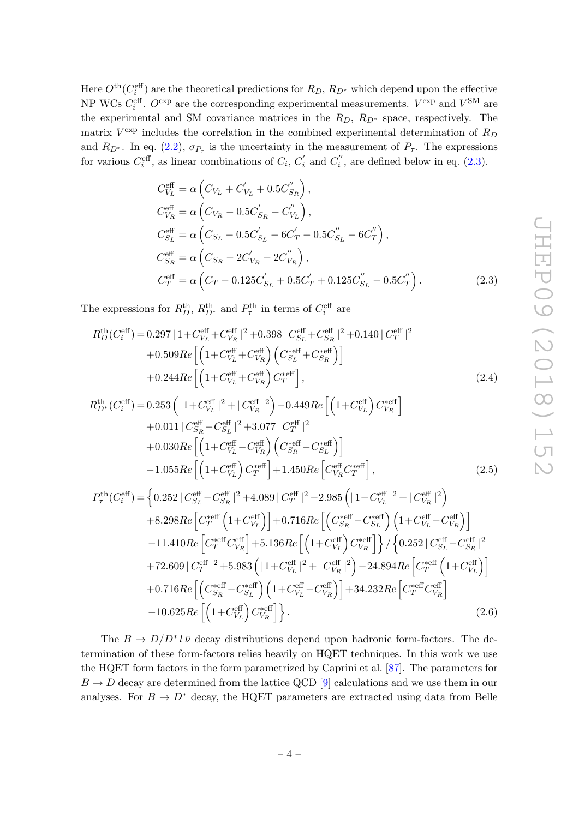Here  $O^{\text{th}}(C_i^{\text{eff}})$  are the theoretical predictions for  $R_D$ ,  $R_{D^*}$  which depend upon the effective NP WCs  $C_i^{\text{eff}}$ .  $O^{\text{exp}}$  are the corresponding experimental measurements.  $V^{\text{exp}}$  and  $V^{\text{SM}}$  are the experimental and SM covariance matrices in the  $R_D$ ,  $R_{D^*}$  space, respectively. The matrix  $V^{\text{exp}}$  includes the correlation in the combined experimental determination of  $R_D$ and  $R_{D^*}$ . In eq. [\(2.2\)](#page-3-1),  $\sigma_{P_{\tau}}$  is the uncertainty in the measurement of  $P_{\tau}$ . The expressions for various  $C_i^{\text{eff}}$ , as linear combinations of  $C_i$ ,  $C_i'$  $c_i'$  and  $C_i''$  $i$ <sup>'</sup>, are defined below in eq.  $(2.3)$ .

<span id="page-4-0"></span>
$$
C_{V_L}^{\text{eff}} = \alpha \left( C_{V_L} + C'_{V_L} + 0.5 C'_{S_R} \right),
$$
  
\n
$$
C_{V_R}^{\text{eff}} = \alpha \left( C_{V_R} - 0.5 C'_{S_R} - C'_{V_L} \right),
$$
  
\n
$$
C_{S_L}^{\text{eff}} = \alpha \left( C_{S_L} - 0.5 C'_{S_L} - 6C'_{T} - 0.5C''_{S_L} - 6C''_{T} \right),
$$
  
\n
$$
C_{S_R}^{\text{eff}} = \alpha \left( C_{S_R} - 2C'_{V_R} - 2C''_{V_R} \right),
$$
  
\n
$$
C_{T}^{\text{eff}} = \alpha \left( C_{T} - 0.125 C'_{S_L} + 0.5C'_{T} + 0.125 C''_{S_L} - 0.5C''_{T} \right).
$$
\n(2.3)

The expressions for  $R_D^{\text{th}}$ ,  $R_{D^*}^{\text{th}}$  and  $P_{\tau}^{\text{th}}$  in terms of  $C_i^{\text{eff}}$  are

$$
R_D^{\text{th}}(C_i^{\text{eff}}) = 0.297 | 1 + C_{V_L}^{\text{eff}} + C_{V_R}^{\text{eff}} |^2 + 0.398 | C_{S_L}^{\text{eff}} + C_{S_R}^{\text{eff}} |^2 + 0.140 | C_T^{\text{eff}} |^2
$$
  
+ 0.509
$$
R_e \left[ \left( 1 + C_{V_L}^{\text{eff}} + C_{V_R}^{\text{eff}} \right) \left( C_{S_L}^{\text{self}} + C_{S_R}^{\text{eff}} \right) \right]
$$
  
+ 0.244
$$
R_e \left[ \left( 1 + C_{V_L}^{\text{eff}} + C_{V_R}^{\text{eff}} \right) C_T^{\text{self}} \right],
$$
 (2.4)

$$
R_{D^*}^{\text{th}}(C_i^{\text{eff}}) = 0.253 \left( |1 + C_{V_L}^{\text{eff}}|^2 + |C_{V_R}^{\text{eff}}|^2 \right) - 0.449 Re \left[ \left( 1 + C_{V_L}^{\text{eff}} \right) C_{V_R}^{*\text{eff}} \right] + 0.011 | C_{S_R}^{\text{eff}} - C_{S_L}^{\text{eff}}|^2 + 3.077 | C_T^{\text{eff}}|^2 + 0.030 Re \left[ \left( 1 + C_{V_L}^{\text{eff}} - C_{V_R}^{\text{eff}} \right) \left( C_{S_R}^{*\text{eff}} - C_{S_L}^{*\text{eff}} \right) \right] - 1.055 Re \left[ \left( 1 + C_{V_L}^{\text{eff}} \right) C_T^{*\text{eff}} \right] + 1.450 Re \left[ C_{V_R}^{\text{eff}} C_T^{*\text{eff}} \right],
$$
(2.5)

$$
P_{\tau}^{\text{th}}(C_i^{\text{eff}}) = \left\{ 0.252 \, | \, C_{S_L}^{\text{eff}} - C_{S_R}^{\text{eff}} |^2 + 4.089 \, | \, C_T^{\text{eff}} |^2 - 2.985 \left( | \, 1 + C_{V_L}^{\text{eff}} |^2 + | \, C_{V_R}^{\text{eff}} |^2 \right) \right.+ 8.298 \, Re \left[ C_T^{\text{eff}} \left( 1 + C_{V_L}^{\text{eff}} \right) \right] + 0.716 \, Re \left[ \left( C_{S_R}^{\text{self}} - C_{S_L}^{\text{eff}} \right) \left( 1 + C_{V_L}^{\text{eff}} - C_{V_R}^{\text{eff}} \right) \right] - 11.410 \, Re \left[ C_T^{\text{self}} C_{V_R}^{\text{eff}} \right] + 5.136 \, Re \left[ \left( 1 + C_{V_L}^{\text{eff}} \right) C_{V_R}^{\text{self}} \right] \right\} / \left\{ 0.252 \, | \, C_{S_L}^{\text{eff}} - C_{S_R}^{\text{eff}} |^2 \right. + 72.609 \, | \, C_T^{\text{eff}} |^2 + 5.983 \left( | \, 1 + C_{V_L}^{\text{eff}} |^2 + | \, C_{V_R}^{\text{eff}} |^2 \right) - 24.894 \, Re \left[ C_T^{\text{self}} \left( 1 + C_{V_L}^{\text{eff}} \right) \right] + 0.716 \, Re \left[ \left( C_{S_R}^{\text{self}} - C_{S_L}^{\text{eff}} \right) \left( 1 + C_{V_L}^{\text{eff}} - C_{V_R}^{\text{eff}} \right) \right] + 34.232 \, Re \left[ C_T^{\text{self}} C_{V_R}^{\text{eff}} \right] - 10.625 \, Re \left[ \left( 1 + C_{V_L}^{\text{eff}} \right) C_{V_R}^{\text{self}} \right] \right\}.
$$
 (2.6)

The  $B \to D/D^* l \bar{\nu}$  decay distributions depend upon hadronic form-factors. The determination of these form-factors relies heavily on HQET techniques. In this work we use the HQET form factors in the form parametrized by Caprini et al. [\[87\]](#page-17-6). The parameters for  $B \to D$  decay are determined from the lattice QCD [\[9\]](#page-13-3) calculations and we use them in our analyses. For  $B \to D^*$  decay, the HQET parameters are extracted using data from Belle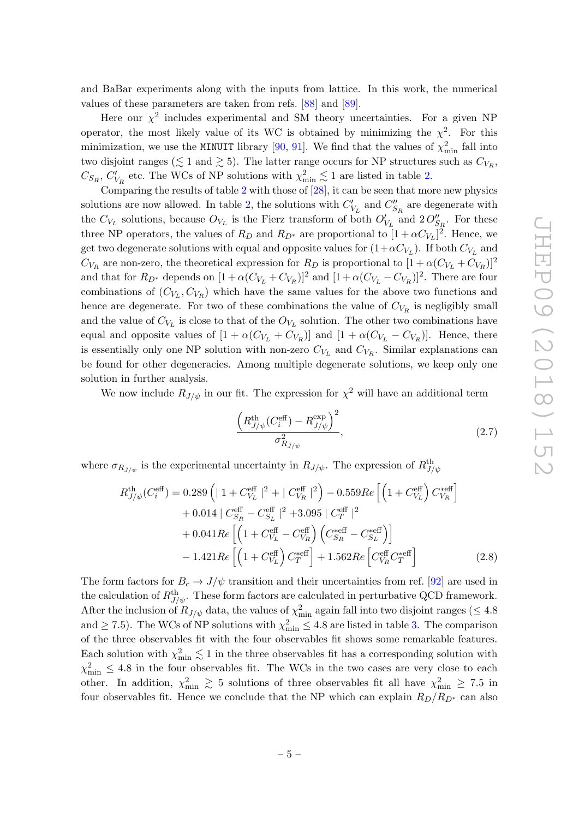and BaBar experiments along with the inputs from lattice. In this work, the numerical values of these parameters are taken from refs. [\[88\]](#page-17-7) and [\[89\]](#page-17-8).

Here our  $\chi^2$  includes experimental and SM theory uncertainties. For a given NP operator, the most likely value of its WC is obtained by minimizing the  $\chi^2$ . For this minimization, we use the MINUIT library [\[90](#page-17-9), [91\]](#page-17-10). We find that the values of  $\chi^2_{\rm min}$  fall into two disjoint ranges ( $\lesssim 1$  and  $\gtrsim 5$ ). The latter range occurs for NP structures such as  $C_{V_R}$ ,  $C_{S_R}, C'_{\mathcal{V}}$  $V_R$  etc. The WCs of NP solutions with  $\chi^2_{\rm min} \lesssim 1$  $\chi^2_{\rm min} \lesssim 1$  $\chi^2_{\rm min} \lesssim 1$  are listed in table 2.

Comparing the results of table [2](#page-6-0) with those of  $[28]$ , it can be seen that more new physics solutions are now allowed. In table [2,](#page-6-0) the solutions with  $C'_{1}$  $V_L'$  and  $C_S''$  $\frac{d}{S_R}$  are degenerate with the  $C_{V_L}$  solutions, because  $O_{V_L}$  is the Fierz transform of both  $O'_1$  $V_L$  and  $2O_{S_R}''$ . For these three NP operators, the values of  $R_D$  and  $R_{D^*}$  are proportional to  $[1+\alpha C_{V_L}]^2$ . Hence, we get two degenerate solutions with equal and opposite values for  $(1+\alpha C_{V_L})$ . If both  $C_{V_L}$  and  $C_{V_R}$  are non-zero, the theoretical expression for  $R_D$  is proportional to  $[1 + \alpha (C_{V_L} + C_{V_R})]^2$ and that for  $R_{D^*}$  depends on  $[1 + \alpha(C_{V_L} + C_{V_R})]^2$  and  $[1 + \alpha(C_{V_L} - C_{V_R})]^2$ . There are four combinations of  $(C_{V_L}, C_{V_R})$  which have the same values for the above two functions and hence are degenerate. For two of these combinations the value of  $C_{V_R}$  is negligibly small and the value of  $C_{V_L}$  is close to that of the  $O_{V_L}$  solution. The other two combinations have equal and opposite values of  $[1 + \alpha(C_{V_L} + C_{V_R})]$  and  $[1 + \alpha(C_{V_L} - C_{V_R})]$ . Hence, there is essentially only one NP solution with non-zero  $C_{V_L}$  and  $C_{V_R}$ . Similar explanations can be found for other degeneracies. Among multiple degenerate solutions, we keep only one solution in further analysis.

We now include  $R_{J/\psi}$  in our fit. The expression for  $\chi^2$  will have an additional term

$$
\frac{\left(R_{J/\psi}^{\text{th}}(C_i^{\text{eff}}) - R_{J/\psi}^{\text{exp}}\right)^2}{\sigma_{R_{J/\psi}}^2},\tag{2.7}
$$

where  $\sigma_{R_{J/\psi}}$  is the experimental uncertainty in  $R_{J/\psi}$ . The expression of  $R_{J/\psi}^{\text{th}}$ 

$$
R_{J/\psi}^{\text{th}}(C_i^{\text{eff}}) = 0.289 \left( | 1 + C_{V_L}^{\text{eff}} |^2 + | C_{V_R}^{\text{eff}} |^2 \right) - 0.559 Re \left[ \left( 1 + C_{V_L}^{\text{eff}} \right) C_{V_R}^{\text{self}} \right] + 0.014 | C_{S_R}^{\text{eff}} - C_{S_L}^{\text{eff}} |^2 + 3.095 | C_T^{\text{eff}} |^2 + 0.041 Re \left[ \left( 1 + C_{V_L}^{\text{eff}} - C_{V_R}^{\text{eff}} \right) \left( C_{S_R}^{\text{self}} - C_{S_L}^{\text{self}} \right) \right] - 1.421 Re \left[ \left( 1 + C_{V_L}^{\text{eff}} \right) C_T^{\text{eff}} \right] + 1.562 Re \left[ C_{V_R}^{\text{eff}} C_T^{\text{eff}} \right] \tag{2.8}
$$

The form factors for  $B_c \to J/\psi$  transition and their uncertainties from ref. [\[92\]](#page-17-11) are used in the calculation of  $R_{J/\psi}^{\text{th}}$ . These form factors are calculated in perturbative QCD framework. After the inclusion of  $R_{J/\psi}$  data, the values of  $\chi^2_{\rm min}$  again fall into two disjoint ranges ( $\leq 4.8$ ) and  $\geq 7.5$ ). The WCs of NP solutions with  $\chi^2_{\text{min}} \leq 4.8$  are listed in table [3.](#page-7-0) The comparison of the three observables fit with the four observables fit shows some remarkable features. Each solution with  $\chi^2_{\rm min} \lesssim 1$  in the three observables fit has a corresponding solution with  $\chi^2_{\rm min} \leq 4.8$  in the four observables fit. The WCs in the two cases are very close to each other. In addition,  $\chi^2_{\rm min} \gtrsim 5$  solutions of three observables fit all have  $\chi^2_{\rm min} \ge 7.5$  in four observables fit. Hence we conclude that the NP which can explain  $R_D/R_{D^*}$  can also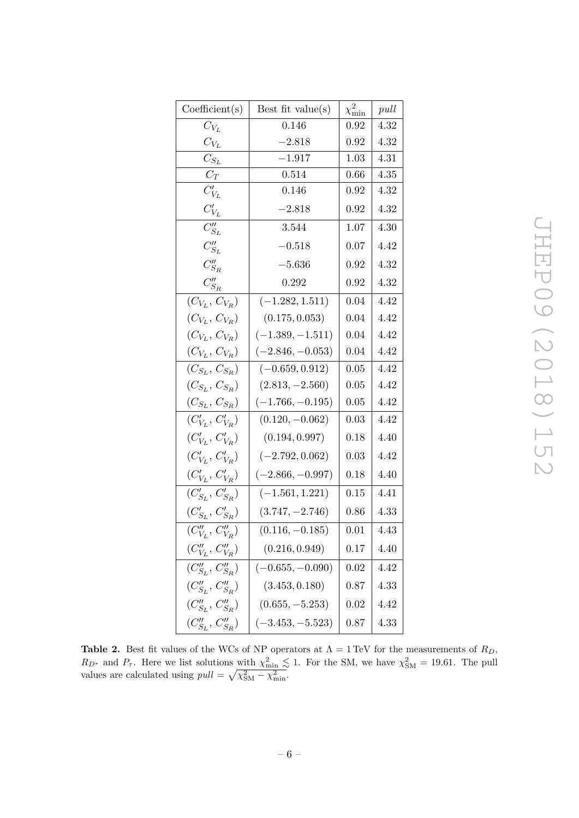<span id="page-6-0"></span>

| Coefficient(s)                                      | Best fit value(s)  | $\chi^2_{\rm min}$ | pull |
|-----------------------------------------------------|--------------------|--------------------|------|
| $C_{V_L}$                                           | 0.146              | 0.92               | 4.32 |
| $C_{V_L}$                                           | $-2.818$           | 0.92               | 4.32 |
| $C_{S_L}$                                           | $-1.917$           | 1.03               | 4.31 |
| $C_T$                                               | 0.514              | 0.66               | 4.35 |
| $C_{V_L}^{\prime}$                                  | 0.146              | 0.92               | 4.32 |
| $C_{V_L}^{\prime}$                                  | $-2.818$           | 0.92               | 4.32 |
| $C_{S_L}''$                                         | 3.544              | 1.07               | 4.30 |
| $C_{S_L}''$                                         | $-0.518$           | 0.07               | 4.42 |
| $C_{S_R}^{\prime\prime}$                            | $-5.636$           | 0.92               | 4.32 |
| $C_{S_R}^{\prime\prime}$                            | 0.292              | 0.92               | 4.32 |
| $(C_{V_L}, C_{V_R})$                                | $(-1.282, 1.511)$  | 0.04               | 4.42 |
| $(C_{V_L}, C_{V_R})$                                | (0.175, 0.053)     | 0.04               | 4.42 |
| $(C_{V_L}, C_{V_R})$                                | $(-1.389, -1.511)$ | 0.04               | 4.42 |
| $(C_{V_L}, C_{V_R})$                                | $(-2.846, -0.053)$ | 0.04               | 4.42 |
| $(C_{S_L}, C_{S_R})$                                | $(-0.659, 0.912)$  | 0.05               | 4.42 |
| $(C_{S_L}, C_{S_R})$                                | $(2.813, -2.560)$  | 0.05               | 4.42 |
| $(C_{S_L}, C_{S_R})$                                | $(-1.766, -0.195)$ | 0.05               | 4.42 |
| $(C'_{V_L}, C'_{V_R})$                              | $(0.120, -0.062)$  | 0.03               | 4.42 |
| $(C'_{V_L}, C'_{V_R})$                              | (0.194, 0.997)     | 0.18               | 4.40 |
| $(C'_{V_L}, C'_{V_R})$                              | $(-2.792, 0.062)$  | 0.03               | 4.42 |
| $(C'_{V_L}, C'_{V_R})$                              | $(-2.866, -0.997)$ | 0.18               | 4.40 |
| $(C'_{S_L}, C'_{S_R})$                              | $(-1.561, 1.221)$  | 0.15               | 4.41 |
| $(C_{S_L}^\prime, \, C_{S_R}^\prime)$               | $(3.747, -2.746)$  | 0.86               | 4.33 |
| $(C_{V_L}^{\prime\prime},\,C_{V_R}^{\prime\prime})$ | $(0.116, -0.185)$  | 0.01               | 4.43 |
| $(C_{V_L}^{\prime\prime},\,C_{V_R}^{\prime\prime})$ | (0.216, 0.949)     | 0.17               | 4.40 |
| $(C''_{S_L}, C''_{S_R})$                            | $(-0.655, -0.090)$ | 0.02               | 4.42 |
| $(C''_{S_L}, C''_{S_R})$                            | (3.453, 0.180)     | 0.87               | 4.33 |
| $(C''_{S_L}, C''_{S_R})$                            | $(0.655, -5.253)$  | 0.02               | 4.42 |
| $(C''_{S_L}, C''_{S_R})$                            | $(-3.453, -5.523)$ | 0.87               | 4.33 |

**Table 2.** Best fit values of the WCs of NP operators at  $\Lambda = 1 \text{ TeV}$  for the measurements of  $R_D$ ,  $R_{D^*}$  and  $P_{\tau}$ . Here we list solutions with  $\chi^2_{\rm min} \lesssim 1$ . For the SM, we have  $\chi^2_{\rm SM} = 19.61$ . The pull values are calculated using  $pull = \sqrt{\chi^2_{SM} - \chi^2_{min}}$ .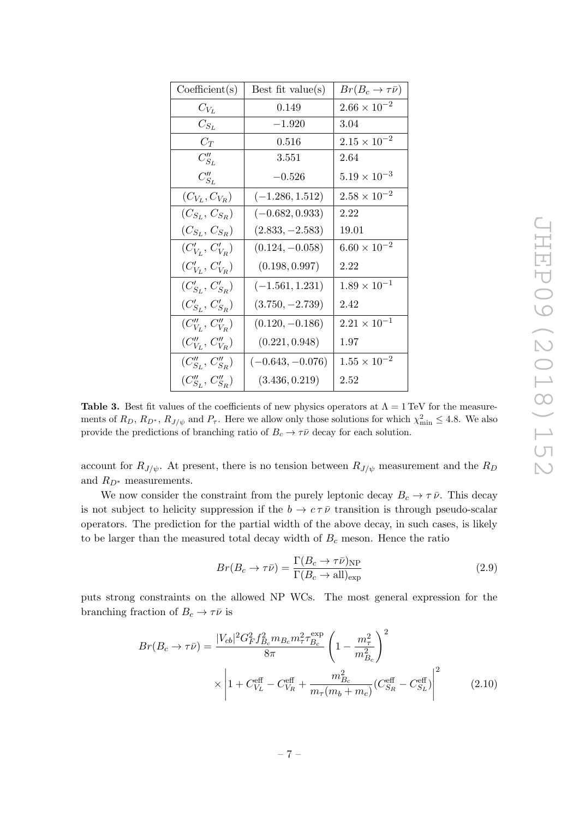<span id="page-7-0"></span>

| Coefficient(s)           | Best fit value(s)  | $Br(B_c\to\tau\bar\nu)$ |
|--------------------------|--------------------|-------------------------|
| $C_{V_L}$                | 0.149              | $2.66 \times 10^{-2}$   |
| $C_{S_L}$                | $-1.920$           | 3.04                    |
| $C_T$                    | 0.516              | $2.15 \times 10^{-2}$   |
| $C_{S_L}''$              | 3.551              | 2.64                    |
| $C''_{S_L}$              | $-0.526$           | $5.19 \times 10^{-3}$   |
| $(C_{V_L}, C_{V_R})$     | $(-1.286, 1.512)$  | $2.58 \times 10^{-2}$   |
| $(C_{S_L}, C_{S_R})$     | $(-0.682, 0.933)$  | 2.22                    |
| $(C_{S_L}, C_{S_R})$     | $(2.833, -2.583)$  | 19.01                   |
| $(C'_{V_L}, C'_{V_R})$   | $(0.124, -0.058)$  | $6.60 \times 10^{-2}$   |
| $(C'_{V_L}, C'_{V_R})$   | (0.198, 0.997)     | 2.22                    |
| $(C'_{S_L}, C'_{S_R})$   | $(-1.561, 1.231)$  | $1.89 \times 10^{-1}$   |
| $(C'_{S_L}, C'_{S_R})$   | $(3.750, -2.739)$  | 2.42                    |
| $(C''_{V_L}, C''_{V_B})$ | $(0.120, -0.186)$  | $2.21 \times 10^{-1}$   |
| $(C''_{V_L}, C''_{V_R})$ | (0.221, 0.948)     | 1.97                    |
| $(C''_{S_L}, C''_{S_R})$ | $(-0.643, -0.076)$ | $1.55 \times 10^{-2}$   |
| $(C''_{S_L}, C''_{S_R})$ | (3.436, 0.219)     | $2.52\,$                |

**Table 3.** Best fit values of the coefficients of new physics operators at  $\Lambda = 1$  TeV for the measurements of  $R_D$ ,  $R_{D^*}$ ,  $R_{J/\psi}$  and  $P_{\tau}$ . Here we allow only those solutions for which  $\chi^2_{\min} \leq 4.8$ . We also provide the predictions of branching ratio of  $B_c \to \tau \bar{\nu}$  decay for each solution.

account for  $R_{J/\psi}$ . At present, there is no tension between  $R_{J/\psi}$  measurement and the  $R_D$ and  $R_{D^*}$  measurements.

We now consider the constraint from the purely leptonic decay  $B_c \to \tau \bar{\nu}$ . This decay is not subject to helicity suppression if the  $b \to c \tau \bar{\nu}$  transition is through pseudo-scalar operators. The prediction for the partial width of the above decay, in such cases, is likely to be larger than the measured total decay width of  $B_c$  meson. Hence the ratio

$$
Br(B_c \to \tau \bar{\nu}) = \frac{\Gamma(B_c \to \tau \bar{\nu})_{\rm NP}}{\Gamma(B_c \to \text{all})_{\rm exp}}\tag{2.9}
$$

puts strong constraints on the allowed NP WCs. The most general expression for the branching fraction of  $B_c \to \tau \bar{\nu}$  is

$$
Br(B_c \to \tau \bar{\nu}) = \frac{|V_{cb}|^2 G_F^2 f_{B_c}^2 m_{B_c} m_{\tau}^2 \tau_{B_c}^{\text{exp}}}{8\pi} \left(1 - \frac{m_{\tau}^2}{m_{B_c}^2}\right)^2
$$

$$
\times \left|1 + C_{V_L}^{\text{eff}} - C_{V_R}^{\text{eff}} + \frac{m_{B_c}^2}{m_{\tau}(m_b + m_c)} (C_{S_R}^{\text{eff}} - C_{S_L}^{\text{eff}})\right|^2 \tag{2.10}
$$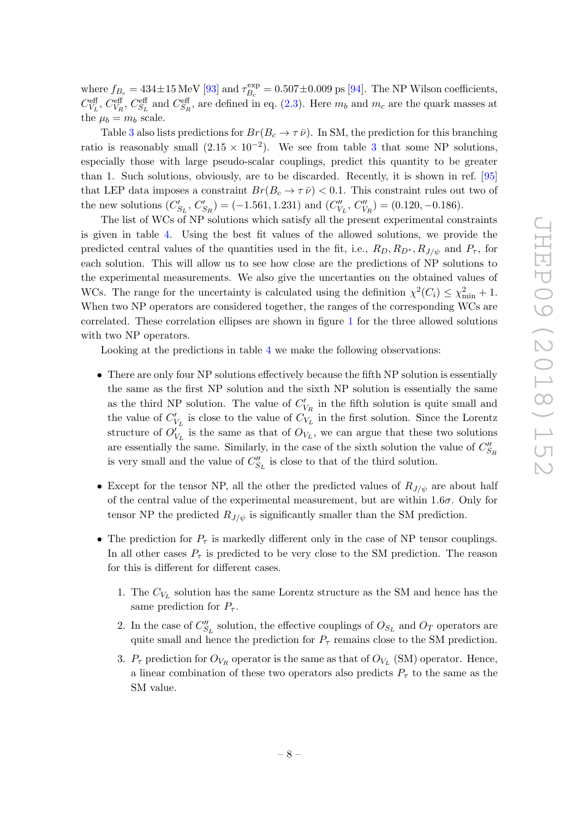where  $f_{B_c} = 434 \pm 15 \,\text{MeV}$  [\[93\]](#page-17-12) and  $\tau_{B_c}^{\text{exp}}$  $\mathcal{B}_{B_c}^{\text{exp}} = 0.507 \pm 0.009 \text{ ps } [94]$  $\mathcal{B}_{B_c}^{\text{exp}} = 0.507 \pm 0.009 \text{ ps } [94]$ . The NP Wilson coefficients,  $C_{V_L}^{\text{eff}}, C_{V_R}^{\text{eff}}, C_{S_L}^{\text{eff}}$  and  $C_{S_R}^{\text{eff}},$  are defined in eq. [\(2.3\)](#page-4-0). Here  $m_b$  and  $m_c$  are the quark masses at the  $\mu_b = m_b$  scale.

Table [3](#page-7-0) also lists predictions for  $Br(B_c \to \tau \bar{\nu})$ . In SM, the prediction for this branching ratio is reasonably small  $(2.15 \times 10^{-2})$ . We see from table [3](#page-7-0) that some NP solutions, especially those with large pseudo-scalar couplings, predict this quantity to be greater than 1. Such solutions, obviously, are to be discarded. Recently, it is shown in ref. [\[95](#page-17-14) ] that LEP data imposes a constraint  $Br(B_c \to \tau \bar{\nu}) < 0.1$ . This constraint rules out two of the new solutions  $(C'_{\beta})$  $S_L$ ,  $C_2'$  $S_R$ ) = (-1.561, 1.231) and ( $C_V''$  $V'_L, C''_{V_R}$  = (0.120, -0.186).

The list of WCs of NP solutions which satisfy all the present experimental constraints is given in table [4.](#page-9-0) Using the best fit values of the allowed solutions, we provide the predicted central values of the quantities used in the fit, i.e.,  $R_D, R_{D^*}, R_{J/\psi}$  and  $P_{\tau}$ , for each solution. This will allow us to see how close are the predictions of NP solutions to the experimental measurements. We also give the uncertanties on the obtained values of WCs. The range for the uncertainty is calculated using the definition  $\chi^2(C_i) \leq \chi^2_{\min} + 1$ . When two NP operators are considered together, the ranges of the corresponding WCs are correlated. These correlation ellipses are shown in figure [1](#page-9-0) for the three allowed solutions with two NP operators.

Looking at the predictions in table [4](#page-9-0) we make the following observations:

- There are only four NP solutions effectively because the fifth NP solution is essentially the same as the first NP solution and the sixth NP solution is essentially the same as the third NP solution. The value of  $C'_{1}$  $V_R$  in the fifth solution is quite small and the value of  $C'_{\mathbf{U}}$  $V_L$  is close to the value of  $C_{V_L}$  in the first solution. Since the Lorentz structure of  $O_1'$  $V_{V_L}$  is the same as that of  $O_{V_L}$ , we can argue that these two solutions are essentially the same. Similarly, in the case of the sixth solution the value of  $C''_S$  $S_{R}$ is very small and the value of  $C''_S$  $S_L$  is close to that of the third solution.
- Except for the tensor NP, all the other the predicted values of  $R_{J/\psi}$  are about half of the central value of the experimental measurement, but are within  $1.6\sigma$ . Only for tensor NP the predicted  $R_{J/\psi}$  is significantly smaller than the SM prediction.
- The prediction for  $P_{\tau}$  is markedly different only in the case of NP tensor couplings. In all other cases  $P_{\tau}$  is predicted to be very close to the SM prediction. The reason for this is different for different cases.
	- 1. The  $C_{V_L}$  solution has the same Lorentz structure as the SM and hence has the same prediction for  $P_{\tau}$ .
	- 2. In the case of  $C''_S$  $S_L$  solution, the effective couplings of  $O_{S_L}$  and  $O_T$  operators are quite small and hence the prediction for  $P_{\tau}$  remains close to the SM prediction.
	- 3.  $P_{\tau}$  prediction for  $O_{V_R}$  operator is the same as that of  $O_{V_L}$  (SM) operator. Hence, a linear combination of these two operators also predicts  $P_{\tau}$  to the same as the SM value.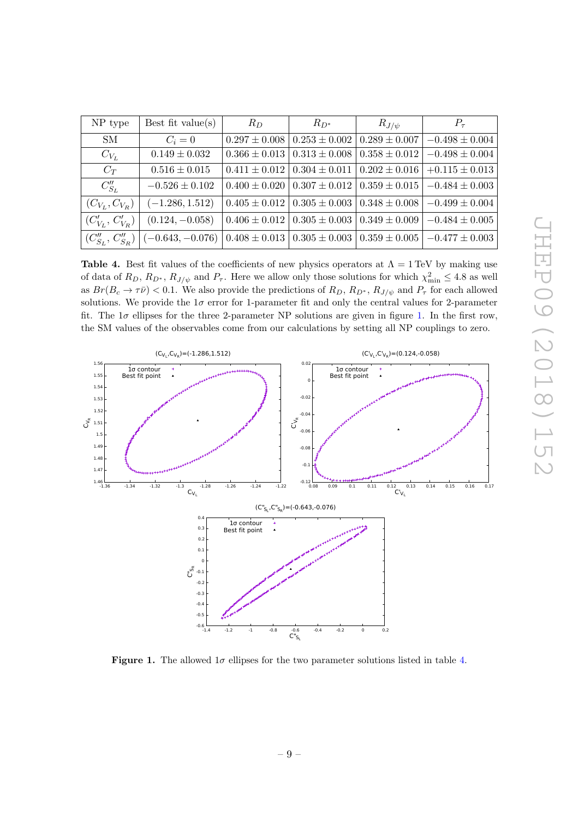<span id="page-9-0"></span>

| Best fit value( $s$ )<br>NP type |                    | $R_D$ | $R_{D^*}$                                                        | $R_{J/\psi}$      | $P_{\tau}$         |  |
|----------------------------------|--------------------|-------|------------------------------------------------------------------|-------------------|--------------------|--|
| SМ                               | $C_i=0$            |       | $0.297 \pm 0.008 \pm 0.253 \pm 0.002$                            | $0.289 \pm 0.007$ | $-0.498 \pm 0.004$ |  |
| $C_{V_L}$                        | $0.149 \pm 0.032$  |       | $0.366 \pm 0.013 \pm 0.313 \pm 0.008$                            | $0.358 \pm 0.012$ | $-0.498 \pm 0.004$ |  |
| $C_T$                            | $0.516 \pm 0.015$  |       | $0.411 \pm 0.012 \mid 0.304 \pm 0.011 \mid 0.202 \pm 0.016 \mid$ |                   | $+0.115 \pm 0.013$ |  |
| $C''_{S_L}$                      | $-0.526 \pm 0.102$ |       | $0.400 \pm 0.020$   $0.307 \pm 0.012$   $0.359 \pm 0.015$        |                   | $-0.484 \pm 0.003$ |  |
| $(C_{V_L}, C_{V_R})$             | $(-1.286, 1.512)$  |       | $0.405 \pm 0.012 \mid 0.305 \pm 0.003 \mid 0.348 \pm 0.008 \mid$ |                   | $-0.499 \pm 0.004$ |  |
| $(C'_{V_L}, C'_{V_R})$           | $(0.124, -0.058)$  |       | $0.406 \pm 0.012 \mid 0.305 \pm 0.003 \mid$                      | $0.349 \pm 0.009$ | $-0.484 \pm 0.005$ |  |
| $(C''_{S_L}, C''_{S_R})$         | $(-0.643,-0.076)$  |       | $0.408 \pm 0.013 \mid 0.305 \pm 0.003 \mid 0.359 \pm 0.005 \mid$ |                   | $-0.477 \pm 0.003$ |  |

Table 4. Best fit values of the coefficients of new physics operators at  $\Lambda = 1 \text{ TeV}$  by making use of data of  $R_D, R_{D^*}, R_{J/\psi}$  and  $P_{\tau}$ . Here we allow only those solutions for which  $\chi^2_{\min} \leq 4.8$  as well as  $Br(B_c \to \tau \bar{\nu}) < 0.1$ . We also provide the predictions of  $R_D$ ,  $R_{D^*}$ ,  $R_{J/\psi}$  and  $P_{\tau}$  for each allowed solutions. We provide the  $1\sigma$  error for 1-parameter fit and only the central values for 2-parameter fit. The  $1\sigma$  ellipses for the three 2-parameter NP solutions are given in figure [1.](#page-9-0) In the first row, the SM values of the observables come from our calculations by setting all NP couplings to zero.



**Figure 1.** The allowed  $1\sigma$  ellipses for the two parameter solutions listed in table [4](#page-9-0).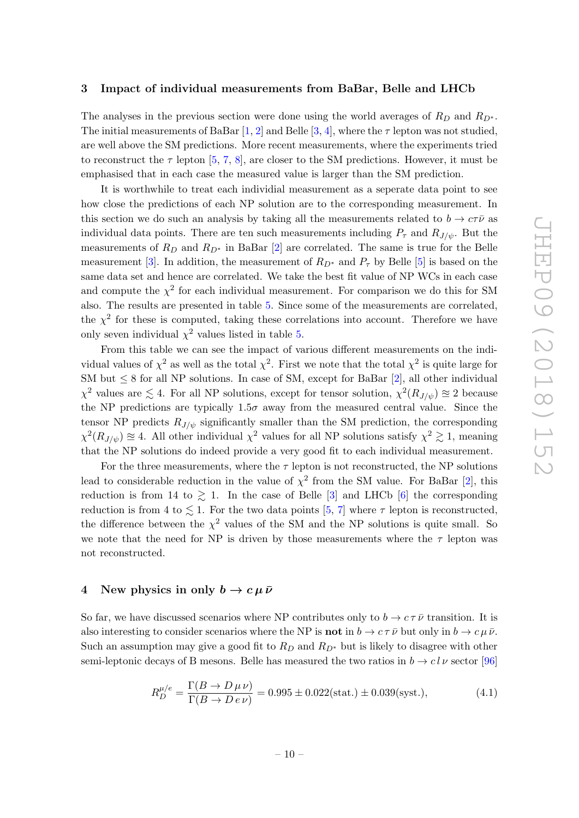### <span id="page-10-0"></span>3 Impact of individual measurements from BaBar, Belle and LHCb

The analyses in the previous section were done using the world averages of  $R_D$  and  $R_{D^*}$ . The initial measurements of BaBar  $[1,2]$  $[1,2]$  $[1,2]$  $[1,2]$  and Belle  $[3,4]$  $[3,4]$  $[3,4]$  $[3,4]$ , where the  $\tau$  lepton was not studied, are well above the SM predictions. More recent measurements, where the experiments tried to reconstruct the  $\tau$  lepton [[5](#page-13-0), [7](#page-13-12), [8\]](#page-13-2), are closer to the SM predictions. However, it must be emphasised that in each case the measured value is larger than the SM prediction.

It is worthwhile to treat each individial measurement as a seperate data point to see how close the predictions of each NP solution are to the corresponding measurement. In this section we do such an analysis by taking all the measurements related to  $b \to c\tau\bar{\nu}$  as individual data points. There are ten such measurements including  $P_{\tau}$  and  $R_{J/\psi}$ . But the measurements of  $R_D$  and  $R_{D^*}$  in BaBar [[2\]](#page-12-1) are correlated. The same is true for the Belle measurement [[3\]](#page-12-2). In addition, the measurement of  $R_{D^*}$  and  $P_{\tau}$  by Belle [[5\]](#page-13-0) is based on the same data set and hence are correlated. We take the best fit value of NP WCs in each case and compute the  $\chi^2$  for each individual measurement. For comparison we do this for SM also. The results are presented in table [5.](#page-11-1) Since some of the measurements are correlated, the  $\chi^2$  for these is computed, taking these correlations into account. Therefore we have only seven individual  $\chi^2$  values listed in table [5](#page-11-1).

From this table we can see the impact of various different measurements on the individual values of  $\chi^2$  as well as the total  $\chi^2$ . First we note that the total  $\chi^2$  is quite large for SM but  $\leq 8$  for all NP solutions. In case of SM, except for BaBar [[2\]](#page-12-1), all other individual  $\chi^2$  values are  $\lesssim 4$ . For all NP solutions, except for tensor solution,  $\chi^2(R_{J/\psi}) \approx 2$  because the NP predictions are typically  $1.5\sigma$  away from the measured central value. Since the tensor NP predicts  $R_{J/\psi}$  significantly smaller than the SM prediction, the corresponding  $\chi^2(R_{J/\psi}) \approx 4$ . All other individual  $\chi^2$  values for all NP solutions satisfy  $\chi^2 \gtrsim 1$ , meaning that the NP solutions do indeed provide a very good fit to each individual measurement.

For the three measurements, where the  $\tau$  lepton is not reconstructed, the NP solutions lead to considerable reduction in the value of  $\chi^2$  from the SM value. For BaBar [[2\]](#page-12-1), this reduction is from 14 to  $\gtrsim$  1. In the case of Belle [[3\]](#page-12-2) and LHCb [[6\]](#page-13-1) the corresponding reduction is from 4 to  $\lesssim 1$ . For the two data points [[5](#page-13-0), [7\]](#page-13-12) where  $\tau$  lepton is reconstructed, the difference between the  $\chi^2$  values of the SM and the NP solutions is quite small. So we note that the need for NP is driven by those measurements where the  $\tau$  lepton was not reconstructed.

# <span id="page-10-1"></span>4 New physics in only  $b \to c \mu \bar{\nu}$

So far, we have discussed scenarios where NP contributes only to  $b \to c \tau \bar{\nu}$  transition. It is also interesting to consider scenarios where the NP is **not** in  $b \to c \tau \bar{\nu}$  but only in  $b \to c \mu \bar{\nu}$ . Such an assumption may give a good fit to  $R_D$  and  $R_{D^*}$  but is likely to disagree with other semi-leptonic decays of B mesons. Belle has measured the two ratios in  $b \to c l \nu$  sector [\[96](#page-18-0)]

<span id="page-10-2"></span>
$$
R_D^{\mu/e} = \frac{\Gamma(B \to D \,\mu \,\nu)}{\Gamma(B \to D \, e \,\nu)} = 0.995 \pm 0.022 \text{(stat.)} \pm 0.039 \text{(syst.),} \tag{4.1}
$$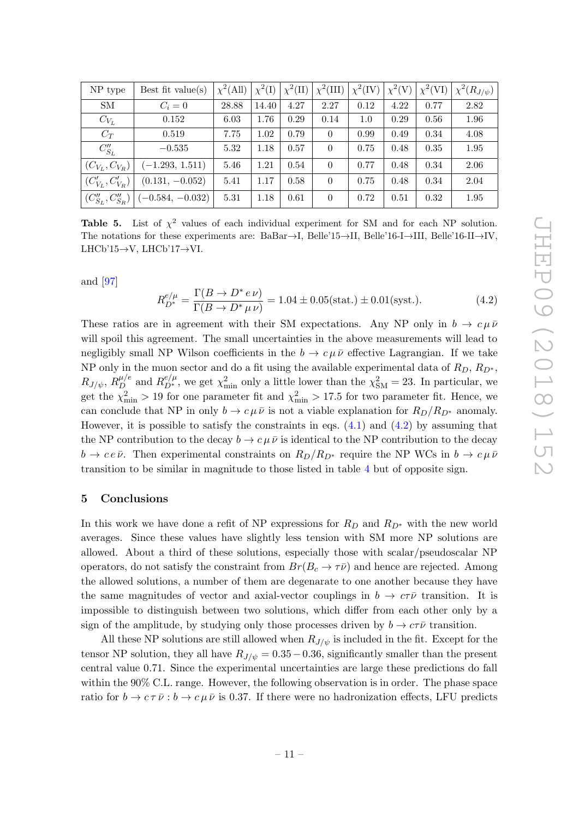<span id="page-11-1"></span>

| NP type                  | Best fit value( $s$ ) | $\chi^2$ (All) | $\chi^2(I)$ | $\chi^2(\text{II})$ | $\chi^2(\text{III})$ | $\chi^2$ (IV) | $\chi^2(V)$ | $\chi^2(VI)$ | $\chi^2(R_{J/\psi})$ |
|--------------------------|-----------------------|----------------|-------------|---------------------|----------------------|---------------|-------------|--------------|----------------------|
| <b>SM</b>                | $C_i=0$               | 28.88          | 14.40       | 4.27                | 2.27                 | 0.12          | 4.22        | 0.77         | 2.82                 |
| $C_{V_L}$                | 0.152                 | 6.03           | 1.76        | 0.29                | 0.14                 | 1.0           | 0.29        | 0.56         | 1.96                 |
| $C_T$                    | 0.519                 | 7.75           | 1.02        | 0.79                | $\Omega$             | 0.99          | 0.49        | 0.34         | 4.08                 |
| $C''_{S_L}$              | $-0.535$              | 5.32           | 1.18        | 0.57                | $\Omega$             | 0.75          | 0.48        | 0.35         | 1.95                 |
| $(C_{V_L}, C_{V_R})$     | $(-1.293, 1.511)$     | 5.46           | 1.21        | 0.54                | $\Omega$             | 0.77          | 0.48        | 0.34         | 2.06                 |
| $(C'_{V_L}, C'_{V_R})$   | $(0.131, -0.052)$     | 5.41           | 1.17        | 0.58                | $\Omega$             | 0.75          | 0.48        | 0.34         | 2.04                 |
| $(C''_{S_L}, C''_{S_R})$ | $(-0.584, -0.032)$    | 5.31           | 1.18        | 0.61                | $\Omega$             | 0.72          | 0.51        | 0.32         | 1.95                 |

**Table 5.** List of  $\chi^2$  values of each individual experiment for SM and for each NP solution. The notations for these experiments are:  $BaBar \rightarrow I$ ,  $Belle'15 \rightarrow II$ ,  $Belle'16-I \rightarrow III$ ,  $Belle'16-II \rightarrow IV$ , LHCb'15 $\rightarrow$ V, LHCb'17 $\rightarrow$ VI.

and [\[97](#page-18-1) ]

<span id="page-11-2"></span>
$$
R_{D^*}^{e/\mu} = \frac{\Gamma(B \to D^* e \nu)}{\Gamma(B \to D^* \mu \nu)} = 1.04 \pm 0.05 \text{(stat.)} \pm 0.01 \text{(syst.)}.
$$
 (4.2)

These ratios are in agreement with their SM expectations. Any NP only in  $b \to c \mu \bar{\nu}$ will spoil this agreement. The small uncertainties in the above measurements will lead to negligibly small NP Wilson coefficients in the  $b \to c \mu \bar{\nu}$  effective Lagrangian. If we take NP only in the muon sector and do a fit using the available experimental data of  $R_D, R_{D^*},$  $R_{J/\psi}, R_D^{\mu/e}$  and  $R_{D^*}^{e/\mu}$ , we get  $\chi^2_{\rm min}$  only a little lower than the  $\chi^2_{\rm SM} = 23$ . In particular, we get the  $\chi^2_{\rm min} > 19$  for one parameter fit and  $\chi^2_{\rm min} > 17.5$  for two parameter fit. Hence, we can conclude that NP in only  $b \to c \mu \bar{\nu}$  is not a viable explanation for  $R_D/R_{D^*}$  anomaly. However, it is possible to satisfy the constraints in eqs.  $(4.1)$  and  $(4.2)$  by assuming that the NP contribution to the decay  $b \to c \mu \bar{\nu}$  is identical to the NP contribution to the decay  $b \to c e \bar{\nu}$ . Then experimental constraints on  $R_D/R_{D^*}$  require the NP WCs in  $b \to c \mu \bar{\nu}$ transition to be similar in magnitude to those listed in table [4](#page-9-0) but of opposite sign.

#### <span id="page-11-0"></span>5 Conclusions

In this work we have done a refit of NP expressions for  $R_D$  and  $R_{D^*}$  with the new world averages. Since these values have slightly less tension with SM more NP solutions are allowed. About a third of these solutions, especially those with scalar/pseudoscalar NP operators, do not satisfy the constraint from  $Br(B_c \to \tau \bar{\nu})$  and hence are rejected. Among the allowed solutions, a number of them are degenarate to one another because they have the same magnitudes of vector and axial-vector couplings in  $b \to c\tau\bar{\nu}$  transition. It is impossible to distinguish between two solutions, which differ from each other only by a sign of the amplitude, by studying only those processes driven by  $b \to c\tau\bar{\nu}$  transition.

All these NP solutions are still allowed when  $R_{J/\psi}$  is included in the fit. Except for the tensor NP solution, they all have  $R_{J/\psi} = 0.35 - 0.36$ , significantly smaller than the present central value 0 .71. Since the experimental uncertainties are large these predictions do fall within the 90% C.L. range. However, the following observation is in order. The phase space ratio for  $b \to c \tau \bar{\nu}$ :  $b \to c \mu \bar{\nu}$  is 0.37. If there were no hadronization effects, LFU predicts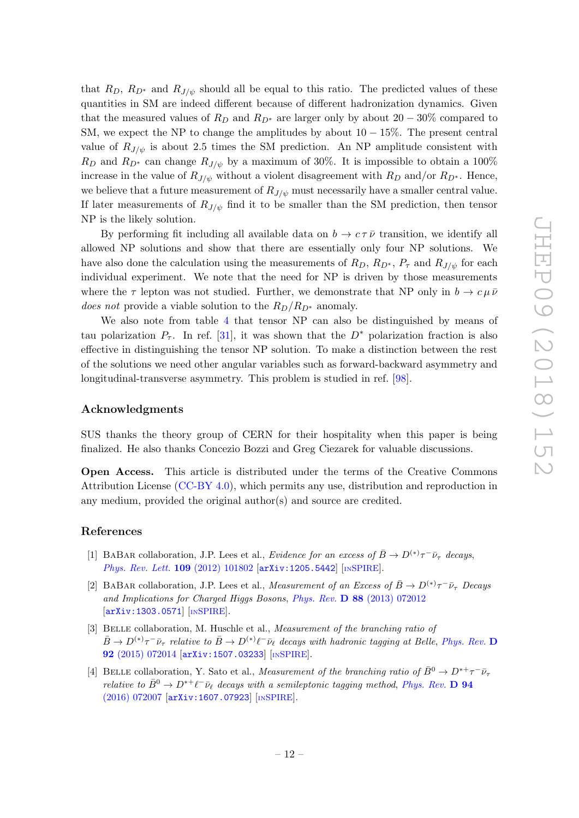that  $R_D$ ,  $R_{D^*}$  and  $R_{J/\psi}$  should all be equal to this ratio. The predicted values of these quantities in SM are indeed different because of different hadronization dynamics. Given that the measured values of  $R_D$  and  $R_{D^*}$  are larger only by about  $20-30\%$  compared to SM, we expect the NP to change the amplitudes by about  $10-15\%$ . The present central value of  $R_{J/\psi}$  is about 2.5 times the SM prediction. An NP amplitude consistent with  $R_D$  and  $R_{D^*}$  can change  $R_{J/\psi}$  by a maximum of 30%. It is impossible to obtain a 100% increase in the value of  $R_{J/\psi}$  without a violent disagreement with  $R_D$  and/or  $R_{D^*}$ . Hence, we believe that a future measurement of  $R_{J/\psi}$  must necessarily have a smaller central value. If later measurements of  $R_{J/\psi}$  find it to be smaller than the SM prediction, then tensor NP is the likely solution.

By performing fit including all available data on  $b \to c \tau \bar{\nu}$  transition, we identify all allowed NP solutions and show that there are essentially only four NP solutions. We have also done the calculation using the measurements of  $R_D$ ,  $R_{D^*}$ ,  $P_{\tau}$  and  $R_{J/\psi}$  for each individual experiment. We note that the need for NP is driven by those measurements where the  $\tau$  lepton was not studied. Further, we demonstrate that NP only in  $b \to c \mu \bar{\nu}$ does not provide a viable solution to the  $R_D/R_{D^*}$  anomaly.

We also note from table [4](#page-9-0) that tensor NP can also be distinguished by means of tau polarization  $P_{\tau}$ . In ref. [\[31\]](#page-14-2), it was shown that the  $D^*$  polarization fraction is also effective in distinguishing the tensor NP solution. To make a distinction between the rest of the solutions we need other angular variables such as forward-backward asymmetry and longitudinal-transverse asymmetry. This problem is studied in ref. [\[98\]](#page-18-2).

## Acknowledgments

SUS thanks the theory group of CERN for their hospitality when this paper is being finalized. He also thanks Concezio Bozzi and Greg Ciezarek for valuable discussions.

Open Access. This article is distributed under the terms of the Creative Commons Attribution License [\(CC-BY 4.0\)](https://creativecommons.org/licenses/by/4.0/), which permits any use, distribution and reproduction in any medium, provided the original author(s) and source are credited.

#### References

- <span id="page-12-0"></span>[1] BABAR collaboration, J.P. Lees et al., Evidence for an excess of  $\bar{B} \to D^{(*)}\tau^- \bar{\nu}_{\tau}$  decays, [Phys. Rev. Lett.](https://doi.org/10.1103/PhysRevLett.109.101802) 109 (2012) 101802 [[arXiv:1205.5442](https://arxiv.org/abs/1205.5442)] [IN[SPIRE](https://inspirehep.net/search?p=find+EPRINT+arXiv:1205.5442)].
- <span id="page-12-1"></span>[2] BABAR collaboration, J.P. Lees et al., *Measurement of an Excess of*  $\bar{B} \to D^{(*)}\tau^-\bar{\nu}_{\tau}$  *Decays* and Implications for Charged Higgs Bosons, Phys. Rev. D 88 [\(2013\) 072012](https://doi.org/10.1103/PhysRevD.88.072012) [[arXiv:1303.0571](https://arxiv.org/abs/1303.0571)] [IN[SPIRE](https://inspirehep.net/search?p=find+EPRINT+arXiv:1303.0571)].
- <span id="page-12-2"></span>[3] BELLE collaboration, M. Huschle et al., Measurement of the branching ratio of  $\bar{B}\to D^{(*)}\tau^-\bar{\nu}_\tau$  relative to  $\bar{B}\to D^{(*)}\ell^-\bar{\nu}_\ell$  decays with hadronic tagging at Belle, [Phys. Rev.](https://doi.org/10.1103/PhysRevD.92.072014) D 92 [\(2015\) 072014](https://doi.org/10.1103/PhysRevD.92.072014) [[arXiv:1507.03233](https://arxiv.org/abs/1507.03233)] [IN[SPIRE](https://inspirehep.net/search?p=find+EPRINT+arXiv:1507.03233)].
- <span id="page-12-3"></span>[4] BELLE collaboration, Y. Sato et al., *Measurement of the branching ratio of*  $\bar{B}^0 \to D^{*+}\tau^-\bar{\nu}_{\tau}$ relative to  $\bar{B}^0 \to D^{*+} \ell^- \bar{\nu}_{\ell}$  decays with a semileptonic tagging method, [Phys. Rev.](https://doi.org/10.1103/PhysRevD.94.072007) **D** 94 [\(2016\) 072007](https://doi.org/10.1103/PhysRevD.94.072007) [[arXiv:1607.07923](https://arxiv.org/abs/1607.07923)] [IN[SPIRE](https://inspirehep.net/search?p=find+EPRINT+arXiv:1607.07923)].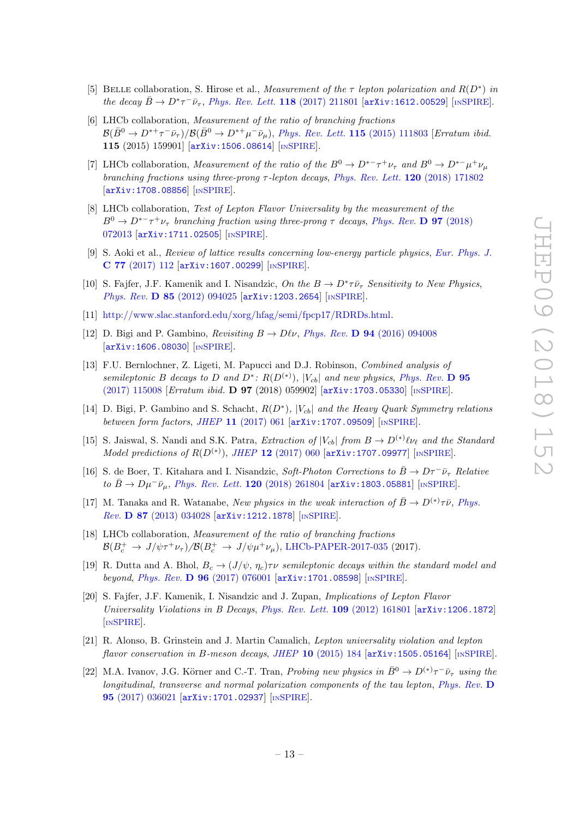- <span id="page-13-0"></span>[5] BELLE collaboration, S. Hirose et al., Measurement of the  $\tau$  lepton polarization and  $R(D^*)$  in the decay  $\bar{B} \to D^* \tau^- \bar{\nu}_{\tau}$ , [Phys. Rev. Lett.](https://doi.org/10.1103/PhysRevLett.118.211801) 118 (2017) 211801 [[arXiv:1612.00529](https://arxiv.org/abs/1612.00529)] [IN[SPIRE](https://inspirehep.net/search?p=find+EPRINT+arXiv:1612.00529)].
- <span id="page-13-1"></span>[6] LHCb collaboration, Measurement of the ratio of branching fractions  $\mathcal{B}(\bar{B}^0 \to D^{*+}\tau^-\bar{\nu}_{\tau})/\mathcal{B}(\bar{B}^0 \to D^{*+}\mu^-\bar{\nu}_{\mu}),$  [Phys. Rev. Lett.](https://doi.org/10.1103/PhysRevLett.115.159901) 115 (2015) 111803 [Erratum ibid. 115 (2015) 159901] [[arXiv:1506.08614](https://arxiv.org/abs/1506.08614)] [IN[SPIRE](https://inspirehep.net/search?p=find+EPRINT+arXiv:1506.08614)].
- <span id="page-13-12"></span>[7] LHCb collaboration, *Measurement of the ratio of the*  $B^0 \to D^{*-} \tau^+ \nu_{\tau}$  and  $B^0 \to D^{*-} \mu^+ \nu_{\mu}$ branching fractions using three-prong  $\tau$ -lepton decays, [Phys. Rev. Lett.](https://doi.org/10.1103/PhysRevLett.120.171802) 120 (2018) 171802 [[arXiv:1708.08856](https://arxiv.org/abs/1708.08856)] [IN[SPIRE](https://inspirehep.net/search?p=find+EPRINT+arXiv:1708.08856)].
- <span id="page-13-2"></span>[8] LHCb collaboration, Test of Lepton Flavor Universality by the measurement of the  $B^0 \to D^{*-} \tau^+ \nu_{\tau}$  branching fraction using three-prong  $\tau$  decays, [Phys. Rev.](https://doi.org/10.1103/PhysRevD.97.072013) **D 97** (2018) [072013](https://doi.org/10.1103/PhysRevD.97.072013) [[arXiv:1711.02505](https://arxiv.org/abs/1711.02505)] [IN[SPIRE](https://inspirehep.net/search?p=find+EPRINT+arXiv:1711.02505)].
- <span id="page-13-3"></span>[9] S. Aoki et al., Review of lattice results concerning low-energy particle physics , [Eur. Phys. J.](https://doi.org/10.1140/epjc/s10052-016-4509-7) C 77 [\(2017\) 112](https://doi.org/10.1140/epjc/s10052-016-4509-7) [[arXiv:1607.00299](https://arxiv.org/abs/1607.00299)] [IN[SPIRE](https://inspirehep.net/search?p=find+EPRINT+arXiv:1607.00299)].
- <span id="page-13-4"></span>[10] S. Fajfer, J.F. Kamenik and I. Nisandzic, On the  $B \to D^* \tau \bar{\nu}_{\tau}$  Sensitivity to New Physics, Phys. Rev. **D 85** [\(2012\) 094025](https://doi.org/10.1103/PhysRevD.85.094025) [[arXiv:1203.2654](https://arxiv.org/abs/1203.2654)] [IN[SPIRE](https://inspirehep.net/search?p=find+EPRINT+arXiv:1203.2654)].
- <span id="page-13-5"></span>[11] <http://www.slac.stanford.edu/xorg/hfag/semi/fpcp17/RDRDs.html> .
- <span id="page-13-6"></span>[12] D. Bigi and P. Gambino, *Revisiting*  $B \to D\ell\nu$ , *Phys. Rev.* **D 94** [\(2016\) 094008](https://doi.org/10.1103/PhysRevD.94.094008) [[arXiv:1606.08030](https://arxiv.org/abs/1606.08030)] [IN[SPIRE](https://inspirehep.net/search?p=find+EPRINT+arXiv:1606.08030)].
- [13] F.U. Bernlochner, Z. Ligeti, M. Papucci and D.J. Robinson, Combined analysis of semileptonic B decays to D and  $D^*$ :  $R(D^{(*)})$ ,  $|V_{cb}|$  and new physics, [Phys. Rev.](https://doi.org/10.1103/PhysRevD.95.115008) D 95 [\(2017\) 115008](https://doi.org/10.1103/PhysRevD.95.115008) [Erratum ibid. D 97 (2018) 059902] [[arXiv:1703.05330](https://arxiv.org/abs/1703.05330)] [IN[SPIRE](https://inspirehep.net/search?p=find+EPRINT+arXiv:1703.05330)].
- [14] D. Bigi, P. Gambino and S. Schacht,  $R(D^*)$ ,  $|V_{cb}|$  and the Heavy Quark Symmetry relations between form factors, JHEP 11 [\(2017\) 061](https://doi.org/10.1007/JHEP11(2017)061) [[arXiv:1707.09509](https://arxiv.org/abs/1707.09509)] [IN[SPIRE](https://inspirehep.net/search?p=find+EPRINT+arXiv:1707.09509)].
- [15] S. Jaiswal, S. Nandi and S.K. Patra, Extraction of  $|V_{cb}|$  from  $B \to D^{(*)} \ell \nu_{\ell}$  and the Standard Model predictions of  $R(D^{(*)})$ , JHEP 12 [\(2017\) 060](https://doi.org/10.1007/JHEP12(2017)060) [[arXiv:1707.09977](https://arxiv.org/abs/1707.09977)] [IN[SPIRE](https://inspirehep.net/search?p=find+EPRINT+arXiv:1707.09977)].
- <span id="page-13-7"></span>[16] S. de Boer, T. Kitahara and I. Nisandzic, Soft-Photon Corrections to  $\bar{B} \to D\tau^- \bar{\nu}_{\tau}$  Relative to  $\bar{B} \to D \mu^- \bar{\nu}_{\mu}$ , [Phys. Rev. Lett.](https://doi.org/10.1103/PhysRevLett.120.261804) 120 (2018) 261804 [[arXiv:1803.05881](https://arxiv.org/abs/1803.05881)] [IN[SPIRE](https://inspirehep.net/search?p=find+EPRINT+arXiv:1803.05881)].
- <span id="page-13-8"></span>[17] M. Tanaka and R. Watanabe, New physics in the weak interaction of  $\bar{B} \to D^{(*)}\tau\bar{\nu}$ , [Phys.](https://doi.org/10.1103/PhysRevD.87.034028) Rev. **D 87** [\(2013\) 034028](https://doi.org/10.1103/PhysRevD.87.034028) [[arXiv:1212.1878](https://arxiv.org/abs/1212.1878)] [IN[SPIRE](https://inspirehep.net/search?p=find+EPRINT+arXiv:1212.1878)].
- <span id="page-13-9"></span>[18] LHCb collaboration, Measurement of the ratio of branching fractions  $\mathcal{B}(B_c^+ \to J/\psi \tau^+ \nu_\tau)/\mathcal{B}(B_c^+ \to J/\psi \mu^+ \nu_\mu)$ , [LHCb-PAPER-2017-035](http://cds.cern.ch/record/2293066) (2017).
- <span id="page-13-10"></span>[19] R. Dutta and A. Bhol,  $B_c \to (J/\psi, \eta_c) \tau \nu$  semileptonic decays within the standard model and beyond, Phys. Rev. D 96 [\(2017\) 076001](https://doi.org/10.1103/PhysRevD.96.076001) [[arXiv:1701.08598](https://arxiv.org/abs/1701.08598)] [IN[SPIRE](https://inspirehep.net/search?p=find+EPRINT+arXiv:1701.08598)].
- <span id="page-13-11"></span>[20] S. Fajfer, J.F. Kamenik, I. Nisandzic and J. Zupan, Implications of Lepton Flavor Universality Violations in B Decays, [Phys. Rev. Lett.](https://doi.org/10.1103/PhysRevLett.109.161801) 109 (2012) 161801 [arXiv: 1206.1872] [IN[SPIRE](https://inspirehep.net/search?p=find+EPRINT+arXiv:1206.1872)].
- [21] R. Alonso, B. Grinstein and J. Martin Camalich, Lepton universality violation and lepton  $flavor\ conservation\ in\ B-meson\ decays,\ JHEP\ {\bf 10}\ (2015) \ 184\ [\rm{arXiv:1505.05164}]\ [mSPIRE].$  $flavor\ conservation\ in\ B-meson\ decays,\ JHEP\ {\bf 10}\ (2015) \ 184\ [\rm{arXiv:1505.05164}]\ [mSPIRE].$  $flavor\ conservation\ in\ B-meson\ decays,\ JHEP\ {\bf 10}\ (2015) \ 184\ [\rm{arXiv:1505.05164}]\ [mSPIRE].$  $flavor\ conservation\ in\ B-meson\ decays,\ JHEP\ {\bf 10}\ (2015) \ 184\ [\rm{arXiv:1505.05164}]\ [mSPIRE].$  $flavor\ conservation\ in\ B-meson\ decays,\ JHEP\ {\bf 10}\ (2015) \ 184\ [\rm{arXiv:1505.05164}]\ [mSPIRE].$
- [22] M.A. Ivanov, J.G. Körner and C.-T. Tran, *Probing new physics in*  $\bar{B}^0 \to D^{(*)}\tau^- \bar{\nu}_{\tau}$  using the longitudinal, transverse and normal polarization components of the tau lepton, [Phys. Rev.](https://doi.org/10.1103/PhysRevD.95.036021)  $D$ 95 [\(2017\) 036021](https://doi.org/10.1103/PhysRevD.95.036021) [[arXiv:1701.02937](https://arxiv.org/abs/1701.02937)] [IN[SPIRE](https://inspirehep.net/search?p=find+EPRINT+arXiv:1701.02937)].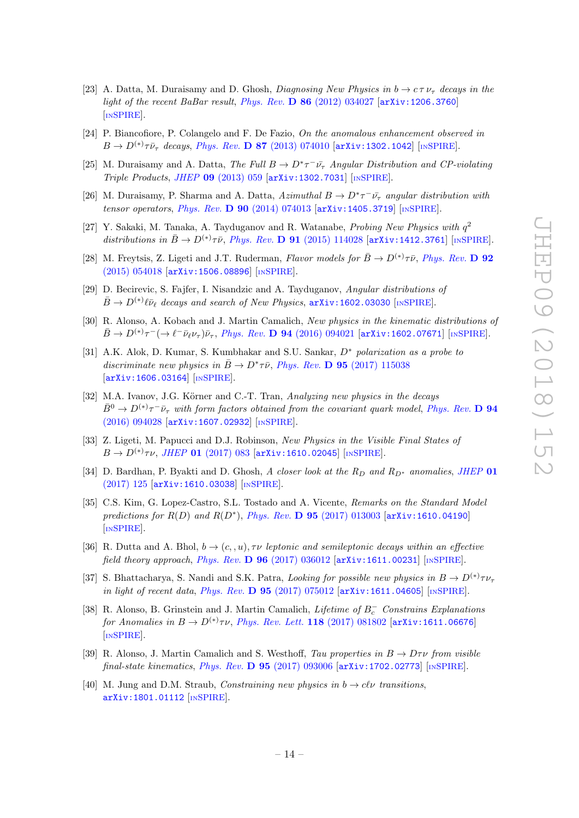- [23] A. Datta, M. Duraisamy and D. Ghosh, *Diagnosing New Physics in*  $b \to c \tau \nu_{\tau}$  decays in the light of the recent BaBar result, Phys. Rev.  $\bf{D} 86$  [\(2012\) 034027](https://doi.org/10.1103/PhysRevD.86.034027) [[arXiv:1206.3760](https://arxiv.org/abs/1206.3760)] [IN[SPIRE](https://inspirehep.net/search?p=find+EPRINT+arXiv:1206.3760)].
- [24] P. Biancofiore, P. Colangelo and F. De Fazio, On the anomalous enhancement observed in  $B \to D^{(*)}\tau\bar{\nu}_{\tau}$  decays, Phys. Rev. **D 87** [\(2013\) 074010](https://doi.org/10.1103/PhysRevD.87.074010) [[arXiv:1302.1042](https://arxiv.org/abs/1302.1042)] [IN[SPIRE](https://inspirehep.net/search?p=find+EPRINT+arXiv:1302.1042)].
- [25] M. Duraisamy and A. Datta, The Full  $B \to D^* \tau^- \bar{\nu_{\tau}}$  Angular Distribution and CP-violating Triple Products , JHEP 09 [\(2013\) 059](https://doi.org/10.1007/JHEP09(2013)059) [[arXiv:1302.7031](https://arxiv.org/abs/1302.7031)] [IN[SPIRE](https://inspirehep.net/search?p=find+EPRINT+arXiv:1302.7031)].
- [26] M. Duraisamy, P. Sharma and A. Datta,  $Azimuthal$   $B \to D^* \tau^- \bar{\nu_{\tau}}$  angular distribution with tensor operators, *Phys. Rev.* **D 90** [\(2014\) 074013](https://doi.org/10.1103/PhysRevD.90.074013) [[arXiv:1405.3719](https://arxiv.org/abs/1405.3719)] [IN[SPIRE](https://inspirehep.net/search?p=find+EPRINT+arXiv:1405.3719)].
- [27] Y. Sakaki, M. Tanaka, A. Tayduganov and R. Watanabe, Probing New Physics with  $q^2$ distributions in  $\bar{B} \to D^{(*)}\tau\bar{\nu}$ , Phys. Rev. **D 91** [\(2015\) 114028](https://doi.org/10.1103/PhysRevD.91.114028) [[arXiv:1412.3761](https://arxiv.org/abs/1412.3761)] [IN[SPIRE](https://inspirehep.net/search?p=find+EPRINT+arXiv:1412.3761)].
- <span id="page-14-0"></span>[28] M. Freytsis, Z. Ligeti and J.T. Ruderman, Flavor models for  $\bar{B} \to D^{(*)}\tau\bar{\nu}$ , [Phys. Rev.](https://doi.org/10.1103/PhysRevD.92.054018) D 92  $(2015)$  054018  $[$ [arXiv:1506.08896](https://arxiv.org/abs/1506.08896) $]$   $[$ IN[SPIRE](https://inspirehep.net/search?p=find+EPRINT+arXiv:1506.08896) $]$ .
- [29] D. Becirevic, S. Fajfer, I. Nisandzic and A. Tayduganov, Angular distributions of  $\bar{B} \to D^{(*)} \ell \bar{\nu}_{\ell}$  decays and search of New Physics, [arXiv:1602.03030](https://arxiv.org/abs/1602.03030) [IN[SPIRE](https://inspirehep.net/search?p=find+EPRINT+arXiv:1602.03030)].
- [30] R. Alonso, A. Kobach and J. Martin Camalich, New physics in the kinematic distributions of  $\bar{B} \to D^{(*)}\tau^- (\to \ell^- \bar{\nu}_{\ell} \nu_{\tau}) \bar{\nu}_{\tau}$ , Phys. Rev. **D 94** [\(2016\) 094021](https://doi.org/10.1103/PhysRevD.94.094021) [[arXiv:1602.07671](https://arxiv.org/abs/1602.07671)] [IN[SPIRE](https://inspirehep.net/search?p=find+EPRINT+arXiv:1602.07671)].
- <span id="page-14-2"></span>[31] A.K. Alok, D. Kumar, S. Kumbhakar and S.U. Sankar,  $D^*$  polarization as a probe to discriminate new physics in  $\bar{B} \to D^* \tau \bar{\nu}$ , Phys. Rev. **D 95** [\(2017\) 115038](https://doi.org/10.1103/PhysRevD.95.115038) [[arXiv:1606.03164](https://arxiv.org/abs/1606.03164)] [IN[SPIRE](https://inspirehep.net/search?p=find+EPRINT+arXiv:1606.03164)].
- [32] M.A. Ivanov, J.G. Körner and C.-T. Tran, Analyzing new physics in the decays  $\bar{B}^0 \to D^{(*)}\tau^-\bar{\nu}_{\tau}$  with form factors obtained from the covariant quark model, [Phys. Rev.](https://doi.org/10.1103/PhysRevD.94.094028) D 94 [\(2016\) 094028](https://doi.org/10.1103/PhysRevD.94.094028) [[arXiv:1607.02932](https://arxiv.org/abs/1607.02932)] [IN[SPIRE](https://inspirehep.net/search?p=find+EPRINT+arXiv:1607.02932)].
- [33] Z. Ligeti, M. Papucci and D.J. Robinson, New Physics in the Visible Final States of  $B \to D^{(*)}\tau \nu, \ JHEP$  01 [\(2017\) 083](https://doi.org/10.1007/JHEP01(2017)083) [[arXiv:1610.02045](https://arxiv.org/abs/1610.02045)] [IN[SPIRE](https://inspirehep.net/search?p=find+EPRINT+arXiv:1610.02045)].
- [34] D. Bardhan, P. Byakti and D. Ghosh, A closer look at the  $R_D$  and  $R_{D^*}$  anomalies, [JHEP](https://doi.org/10.1007/JHEP01(2017)125) 01 [\(2017\) 125](https://doi.org/10.1007/JHEP01(2017)125) [[arXiv:1610.03038](https://arxiv.org/abs/1610.03038)] [IN[SPIRE](https://inspirehep.net/search?p=find+EPRINT+arXiv:1610.03038)].
- [35] C.S. Kim, G. Lopez-Castro, S.L. Tostado and A. Vicente, Remarks on the Standard Model predictions for  $R(D)$  and  $R(D^*)$ , *Phys. Rev.* **D 95** [\(2017\) 013003](https://doi.org/10.1103/PhysRevD.95.013003) [[arXiv:1610.04190](https://arxiv.org/abs/1610.04190)] [IN[SPIRE](https://inspirehep.net/search?p=find+EPRINT+arXiv:1610.04190)].
- [36] R. Dutta and A. Bhol,  $b \to (c, u)$ ,  $\tau \nu$  leptonic and semileptonic decays within an effective field theory approach, Phys. Rev. D  $96$  [\(2017\) 036012](https://doi.org/10.1103/PhysRevD.96.036012)  $\text{arXiv:1611.00231}$  $\text{arXiv:1611.00231}$  $\text{arXiv:1611.00231}$  [IN[SPIRE](https://inspirehep.net/search?p=find+EPRINT+arXiv:1611.00231)].
- [37] S. Bhattacharya, S. Nandi and S.K. Patra, *Looking for possible new physics in*  $B \to D^{(*)} \tau \nu_{\tau}$ in light of recent data, Phys. Rev. D  $95$  [\(2017\) 075012](https://doi.org/10.1103/PhysRevD.95.075012) [[arXiv:1611.04605](https://arxiv.org/abs/1611.04605)] [IN[SPIRE](https://inspirehep.net/search?p=find+EPRINT+arXiv:1611.04605)].
- <span id="page-14-1"></span>[38] R. Alonso, B. Grinstein and J. Martin Camalich, Lifetime of  $B_c^-$  Constrains Explanations for Anomalies in  $B \to D^{(*)}\tau \nu$ , [Phys. Rev. Lett.](https://doi.org/10.1103/PhysRevLett.118.081802) **118** (2017) 081802 [[arXiv:1611.06676](https://arxiv.org/abs/1611.06676)] [IN[SPIRE](https://inspirehep.net/search?p=find+EPRINT+arXiv:1611.06676)].
- [39] R. Alonso, J. Martin Camalich and S. Westhoff, Tau properties in  $B \to D\tau\nu$  from visible  $\emph{final-state kinematics}, \emph{Phys. Rev.} \ \textbf{D} \ \textbf{95} \ (2017) \ 093006 \ [\text{arXiv:1702.02773}] \ [\text{nSPIRE}] .$  $\emph{final-state kinematics}, \emph{Phys. Rev.} \ \textbf{D} \ \textbf{95} \ (2017) \ 093006 \ [\text{arXiv:1702.02773}] \ [\text{nSPIRE}] .$  $\emph{final-state kinematics}, \emph{Phys. Rev.} \ \textbf{D} \ \textbf{95} \ (2017) \ 093006 \ [\text{arXiv:1702.02773}] \ [\text{nSPIRE}] .$  $\emph{final-state kinematics}, \emph{Phys. Rev.} \ \textbf{D} \ \textbf{95} \ (2017) \ 093006 \ [\text{arXiv:1702.02773}] \ [\text{nSPIRE}] .$  $\emph{final-state kinematics}, \emph{Phys. Rev.} \ \textbf{D} \ \textbf{95} \ (2017) \ 093006 \ [\text{arXiv:1702.02773}] \ [\text{nSPIRE}] .$
- [40] M. Jung and D.M. Straub, *Constraining new physics in*  $b \to c l \nu$  transitions, [arXiv:1801.01112](https://arxiv.org/abs/1801.01112) [IN[SPIRE](https://inspirehep.net/search?p=find+EPRINT+arXiv:1801.01112)].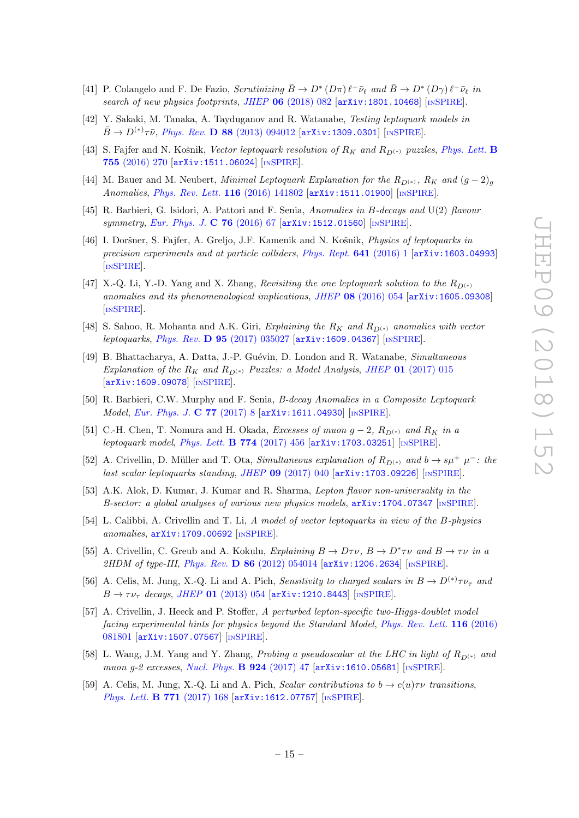- <span id="page-15-0"></span>[41] P. Colangelo and F. De Fazio, Scrutinizing  $\bar{B} \to D^* (D\pi) \ell^- \bar{\nu}_\ell$  and  $\bar{B} \to D^* (D\gamma) \ell^- \bar{\nu}_\ell$  in search of new physics footprints, JHEP 06 [\(2018\) 082](https://doi.org/10.1007/JHEP06(2018)082) [[arXiv:1801.10468](https://arxiv.org/abs/1801.10468)] [IN[SPIRE](https://inspirehep.net/search?p=find+EPRINT+arXiv:1801.10468)].
- <span id="page-15-1"></span>[42] Y. Sakaki, M. Tanaka, A. Tayduganov and R. Watanabe, Testing leptoquark models in  $\bar{B} \to D^{(*)}\tau\bar{\nu}$ , Phys. Rev. **D** 88 [\(2013\) 094012](https://doi.org/10.1103/PhysRevD.88.094012) [[arXiv:1309.0301](https://arxiv.org/abs/1309.0301)] [IN[SPIRE](https://inspirehep.net/search?p=find+EPRINT+arXiv:1309.0301)].
- <span id="page-15-5"></span>[43] S. Fajfer and N. Košnik, Vector leptoquark resolution of  $R_K$  and  $R_{D^{(*)}}$  puzzles, [Phys. Lett.](https://doi.org/10.1016/j.physletb.2016.02.018) **B** 755 [\(2016\) 270](https://doi.org/10.1016/j.physletb.2016.02.018) [[arXiv:1511.06024](https://arxiv.org/abs/1511.06024)] [IN[SPIRE](https://inspirehep.net/search?p=find+EPRINT+arXiv:1511.06024)].
- [44] M. Bauer and M. Neubert, *Minimal Leptoquark Explanation for the*  $R_{D^{(*)}}$ ,  $R_K$  and  $(g-2)_g$ Anomalies, [Phys. Rev. Lett.](https://doi.org/10.1103/PhysRevLett.116.141802) 116 (2016) 141802 [[arXiv:1511.01900](https://arxiv.org/abs/1511.01900)] [IN[SPIRE](https://inspirehep.net/search?p=find+EPRINT+arXiv:1511.01900)].
- [45] R. Barbieri, G. Isidori, A. Pattori and F. Senia, Anomalies in B-decays and U(2) flavour symmetry, [Eur. Phys. J.](https://doi.org/10.1140/epjc/s10052-016-3905-3) C 76 (2016) 67 [[arXiv:1512.01560](https://arxiv.org/abs/1512.01560)] [IN[SPIRE](https://inspirehep.net/search?p=find+EPRINT+arXiv:1512.01560)].
- <span id="page-15-6"></span>[46] I. Doršner, S. Fajfer, A. Greljo, J.F. Kamenik and N. Košnik, Physics of leptoquarks in precision experiments and at particle colliders, [Phys. Rept.](https://doi.org/10.1016/j.physrep.2016.06.001) 641 (2016) 1 [[arXiv:1603.04993](https://arxiv.org/abs/1603.04993)] [IN[SPIRE](https://inspirehep.net/search?p=find+EPRINT+arXiv:1603.04993)].
- <span id="page-15-4"></span>[47] X.-Q. Li, Y.-D. Yang and X. Zhang, *Revisiting the one leptoquark solution to the*  $R_{D^{(*)}}$ anomalies and its phenomenological implications, JHEP 08 [\(2016\) 054](https://doi.org/10.1007/JHEP08(2016)054) [[arXiv:1605.09308](https://arxiv.org/abs/1605.09308)] [IN[SPIRE](https://inspirehep.net/search?p=find+EPRINT+arXiv:1605.09308)].
- [48] S. Sahoo, R. Mohanta and A.K. Giri, Explaining the  $R_K$  and  $R_{D^{(*)}}$  anomalies with vector leptoquarks, Phys. Rev. D 95 [\(2017\) 035027](https://doi.org/10.1103/PhysRevD.95.035027) [[arXiv:1609.04367](https://arxiv.org/abs/1609.04367)] [IN[SPIRE](https://inspirehep.net/search?p=find+EPRINT+arXiv:1609.04367)].
- [49] B. Bhattacharya, A. Datta, J.-P. Guévin, D. London and R. Watanabe, Simultaneous Explanation of the  $R_K$  and  $R_{D^{(*)}}$  Puzzles: a Model Analysis, JHEP 01 [\(2017\) 015](https://doi.org/10.1007/JHEP01(2017)015) [[arXiv:1609.09078](https://arxiv.org/abs/1609.09078)] [IN[SPIRE](https://inspirehep.net/search?p=find+EPRINT+arXiv:1609.09078)].
- [50] R. Barbieri, C.W. Murphy and F. Senia, B-decay Anomalies in a Composite Leptoquark Model , [Eur. Phys. J.](https://doi.org/10.1140/epjc/s10052-016-4578-7) C 77 (2017) 8 [[arXiv:1611.04930](https://arxiv.org/abs/1611.04930)] [IN[SPIRE](https://inspirehep.net/search?p=find+EPRINT+arXiv:1611.04930)].
- [51] C.-H. Chen, T. Nomura and H. Okada, *Excesses of muon*  $g 2$ ,  $R_{D^{(*)}}$  and  $R_K$  in a leptoquark model, [Phys. Lett.](https://doi.org/10.1016/j.physletb.2017.10.005) **B 774** (2017) 456 [[arXiv:1703.03251](https://arxiv.org/abs/1703.03251)] [IN[SPIRE](https://inspirehep.net/search?p=find+EPRINT+arXiv:1703.03251)].
- [52] A. Crivellin, D. Müller and T. Ota, *Simultaneous explanation of*  $R_{D^{(*)}}$  and  $b \to s\mu^{+} \mu^{-}$ : the last scalar leptoquarks standing, JHEP 09 [\(2017\) 040](https://doi.org/10.1007/JHEP09(2017)040) [[arXiv:1703.09226](https://arxiv.org/abs/1703.09226)] [IN[SPIRE](https://inspirehep.net/search?p=find+EPRINT+arXiv:1703.09226)].
- [53] A.K. Alok, D. Kumar, J. Kumar and R. Sharma, Lepton flavor non-universality in the B-sector: a global analyses of various new physics models,  $arXiv:1704.07347$  [IN[SPIRE](https://inspirehep.net/search?p=find+EPRINT+arXiv:1704.07347)].
- <span id="page-15-2"></span>[54] L. Calibbi, A. Crivellin and T. Li, A model of vector leptoquarks in view of the B-physics anomalies , [arXiv:1709.00692](https://arxiv.org/abs/1709.00692) [IN[SPIRE](https://inspirehep.net/search?p=find+EPRINT+arXiv:1709.00692)].
- <span id="page-15-3"></span>[55] A. Crivellin, C. Greub and A. Kokulu, Explaining  $B \to D\tau\nu$ ,  $B \to D^*\tau\nu$  and  $B \to \tau\nu$  in a 2HDM of type-III, Phys. Rev. D  $86$  [\(2012\) 054014](https://doi.org/10.1103/PhysRevD.86.054014)  $[array:1206.2634]$   $[$ IN[SPIRE](https://inspirehep.net/search?p=find+EPRINT+arXiv:1206.2634)].
- [56] A. Celis, M. Jung, X.-Q. Li and A. Pich, Sensitivity to charged scalars in  $B \to D^{(*)}\tau \nu_{\tau}$  and  $B \to \tau \nu_{\tau}$  decays, JHEP 01 [\(2013\) 054](https://doi.org/10.1007/JHEP01(2013)054) [[arXiv:1210.8443](https://arxiv.org/abs/1210.8443)] [IN[SPIRE](https://inspirehep.net/search?p=find+EPRINT+arXiv:1210.8443)].
- [57] A. Crivellin, J. Heeck and P. Stoffer, A perturbed lepton-specific two-Higgs-doublet model facing experimental hints for physics beyond the Standard Model, [Phys. Rev. Lett.](https://doi.org/10.1103/PhysRevLett.116.081801) **116** (2016) [081801](https://doi.org/10.1103/PhysRevLett.116.081801) [[arXiv:1507.07567](https://arxiv.org/abs/1507.07567)] [IN[SPIRE](https://inspirehep.net/search?p=find+EPRINT+arXiv:1507.07567)].
- [58] L. Wang, J.M. Yang and Y. Zhang, *Probing a pseudoscalar at the LHC in light of*  $R_{D^{(*)}}$  and muon g-2 excesses, [Nucl. Phys.](https://doi.org/10.1016/j.nuclphysb.2017.09.002) **B 924** (2017) 47 [[arXiv:1610.05681](https://arxiv.org/abs/1610.05681)] [IN[SPIRE](https://inspirehep.net/search?p=find+EPRINT+arXiv:1610.05681)].
- [59] A. Celis, M. Jung, X.-Q. Li and A. Pich, *Scalar contributions to*  $b \to c(u)\tau\nu$  transitions, [Phys. Lett.](https://doi.org/10.1016/j.physletb.2017.05.037) **B 771** (2017) 168 [[arXiv:1612.07757](https://arxiv.org/abs/1612.07757)] [IN[SPIRE](https://inspirehep.net/search?p=find+EPRINT+arXiv:1612.07757)].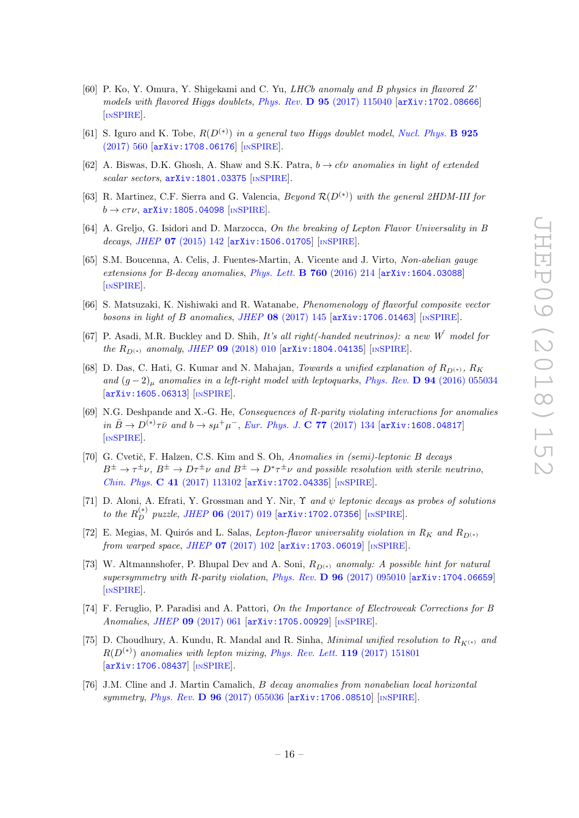- [60] P. Ko, Y. Omura, Y. Shigekami and C. Yu, LHCb anomaly and B physics in flavored Z' models with flavored Higgs doublets, Phys. Rev. D 95 [\(2017\) 115040](https://doi.org/10.1103/PhysRevD.95.115040) [arXiv: 1702.08666] [IN[SPIRE](https://inspirehep.net/search?p=find+EPRINT+arXiv:1702.08666)].
- [61] S. Iguro and K. Tobe,  $R(D^{(*)})$  in a general two Higgs doublet model, [Nucl. Phys.](https://doi.org/10.1016/j.nuclphysb.2017.10.014) **B** 925 [\(2017\) 560](https://doi.org/10.1016/j.nuclphysb.2017.10.014) [[arXiv:1708.06176](https://arxiv.org/abs/1708.06176)] [IN[SPIRE](https://inspirehep.net/search?p=find+EPRINT+arXiv:1708.06176)].
- [62] A. Biswas, D.K. Ghosh, A. Shaw and S.K. Patra,  $b \to c l \nu$  anomalies in light of extended scalar sectors,  $arXiv:1801.03375$  [IN[SPIRE](https://inspirehep.net/search?p=find+EPRINT+arXiv:1801.03375)].
- <span id="page-16-0"></span>[63] R. Martinez, C.F. Sierra and G. Valencia,  $Beyond \mathcal{R}(D^{(*)})$  with the general 2HDM-III for  $b\to c\tau\nu,$  [arXiv:1805.04098](https://arxiv.org/abs/1805.04098) [IN[SPIRE](https://inspirehep.net/search?p=find+EPRINT+arXiv:1805.04098)].
- <span id="page-16-1"></span>[64] A. Greljo, G. Isidori and D. Marzocca, On the breaking of Lepton Flavor Universality in B decays, JHEP **07** [\(2015\) 142](https://doi.org/10.1007/JHEP07(2015)142) [[arXiv:1506.01705](https://arxiv.org/abs/1506.01705)] [IN[SPIRE](https://inspirehep.net/search?p=find+EPRINT+arXiv:1506.01705)].
- [65] S.M. Boucenna, A. Celis, J. Fuentes-Martin, A. Vicente and J. Virto, Non-abelian gauge extensions for B-decay anomalies, *[Phys. Lett.](https://doi.org/10.1016/j.physletb.2016.06.067)* **B 760** (2016) 214 [[arXiv:1604.03088](https://arxiv.org/abs/1604.03088)] [IN[SPIRE](https://inspirehep.net/search?p=find+EPRINT+arXiv:1604.03088)].
- [66] S. Matsuzaki, K. Nishiwaki and R. Watanabe, Phenomenology of flavorful composite vector bosons in light of B anomalies, JHEP  $08$  [\(2017\) 145](https://doi.org/10.1007/JHEP08(2017)145)  $\text{arXiv:1706.01463}$  $\text{arXiv:1706.01463}$  $\text{arXiv:1706.01463}$  [IN[SPIRE](https://inspirehep.net/search?p=find+EPRINT+arXiv:1706.01463)].
- <span id="page-16-2"></span>[67] P. Asadi, M.R. Buckley and D. Shih, It's all right(-handed neutrinos): a new  $W^{'}$  model for the  $R_{D^{(*)}}$  anomaly, JHEP 09 [\(2018\) 010](https://doi.org/10.1007/JHEP09(2018)010)  $\left[$ [arXiv:1804.04135](https://arxiv.org/abs/1804.04135)]  $\left[$ IN[SPIRE](https://inspirehep.net/search?p=find+EPRINT+arXiv:1804.04135)].
- <span id="page-16-3"></span>[68] D. Das, C. Hati, G. Kumar and N. Mahajan, Towards a unified explanation of  $R_{D^{(*)}}$ ,  $R_K$ and  $(g-2)_{\mu}$  anomalies in a left-right model with leptoquarks, Phys. Rev. **D 94** [\(2016\) 055034](https://doi.org/10.1103/PhysRevD.94.055034) [[arXiv:1605.06313](https://arxiv.org/abs/1605.06313)] [IN[SPIRE](https://inspirehep.net/search?p=find+EPRINT+arXiv:1605.06313)].
- [69] N.G. Deshpande and X.-G. He, Consequences of R-parity violating interactions for anomalies in  $\bar{B} \to D^{(*)}\tau\bar{\nu}$  and  $b \to s\mu^{+}\mu^{-}$ , [Eur. Phys. J.](https://doi.org/10.1140/epjc/s10052-017-4707-y) C 77 (2017) 134 [[arXiv:1608.04817](https://arxiv.org/abs/1608.04817)] [IN[SPIRE](https://inspirehep.net/search?p=find+EPRINT+arXiv:1608.04817)].
- [70] G. Cvetič, F. Halzen, C.S. Kim and S. Oh, Anomalies in (semi)-leptonic B decays  $B^{\pm} \to \tau^{\pm} \nu$ ,  $B^{\pm} \to D^{\tau^{\pm}} \nu$  and  $B^{\pm} \to D^* \tau^{\pm} \nu$  and possible resolution with sterile neutrino, Chin. Phys. C 41 [\(2017\) 113102](https://doi.org/10.1088/1674-1137/41/11/113102) [[arXiv:1702.04335](https://arxiv.org/abs/1702.04335)] [IN[SPIRE](https://inspirehep.net/search?p=find+EPRINT+arXiv:1702.04335)].
- [71] D. Aloni, A. Efrati, Y. Grossman and Y. Nir,  $\Upsilon$  and  $\psi$  leptonic decays as probes of solutions to the  $R_D^{(*)}$  puzzle, JHEP 06 [\(2017\) 019](https://doi.org/10.1007/JHEP06(2017)019)  $\left[$ [arXiv:1702.07356](https://arxiv.org/abs/1702.07356)]  $\left[$ IN[SPIRE](https://inspirehep.net/search?p=find+EPRINT+arXiv:1702.07356)].
- [72] E. Megias, M. Quirós and L. Salas, Lepton-flavor universality violation in  $R_K$  and  $R_{D^{(*)}}$ from warped space, JHEP 07 [\(2017\) 102](https://doi.org/10.1007/JHEP07(2017)102) [[arXiv:1703.06019](https://arxiv.org/abs/1703.06019)] [IN[SPIRE](https://inspirehep.net/search?p=find+EPRINT+arXiv:1703.06019)].
- [73] W. Altmannshofer, P. Bhupal Dev and A. Soni,  $R_{D^{(*)}}$  anomaly: A possible hint for natural supersymmetry with R-parity violation, Phys. Rev. D 96 [\(2017\) 095010](https://doi.org/10.1103/PhysRevD.96.095010) [[arXiv:1704.06659](https://arxiv.org/abs/1704.06659)] [IN[SPIRE](https://inspirehep.net/search?p=find+EPRINT+arXiv:1704.06659)].
- [74] F. Feruglio, P. Paradisi and A. Pattori, On the Importance of Electroweak Corrections for B Anomalies, JHEP 09 [\(2017\) 061](https://doi.org/10.1007/JHEP09(2017)061) [[arXiv:1705.00929](https://arxiv.org/abs/1705.00929)] [IN[SPIRE](https://inspirehep.net/search?p=find+EPRINT+arXiv:1705.00929)].
- [75] D. Choudhury, A. Kundu, R. Mandal and R. Sinha, *Minimal unified resolution to*  $R_{K^{(*)}}$  and  $R(D^{(*)})$  anomalies with lepton mixing, [Phys. Rev. Lett.](https://doi.org/10.1103/PhysRevLett.119.151801) 119 (2017) 151801 [[arXiv:1706.08437](https://arxiv.org/abs/1706.08437)] [IN[SPIRE](https://inspirehep.net/search?p=find+EPRINT+arXiv:1706.08437)].
- <span id="page-16-4"></span>[76] J.M. Cline and J. Martin Camalich, B decay anomalies from nonabelian local horizontal symmetry, Phys. Rev. D 96 [\(2017\) 055036](https://doi.org/10.1103/PhysRevD.96.055036) [[arXiv:1706.08510](https://arxiv.org/abs/1706.08510)] [IN[SPIRE](https://inspirehep.net/search?p=find+EPRINT+arXiv:1706.08510)].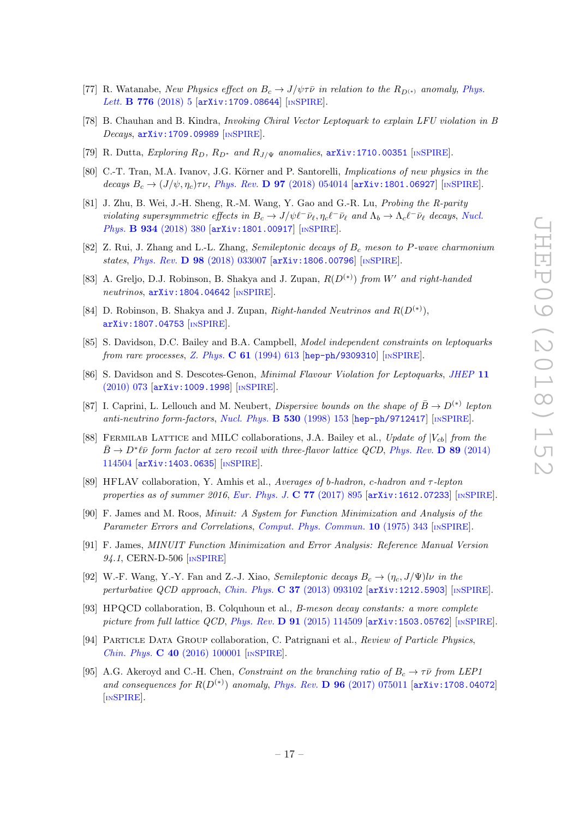- <span id="page-17-0"></span>[77] R. Watanabe, New Physics effect on  $B_c \to J/\psi \tau \bar{\nu}$  in relation to the  $R_{D^{(*)}}$  anomaly, [Phys.](https://doi.org/10.1016/j.physletb.2017.11.016) Lett. **B** 776  $(2018)$  5  $[\text{arXiv}:1709.08644]$   $[\text{INSPIRE}]$  $[\text{INSPIRE}]$  $[\text{INSPIRE}]$ .
- [78] B. Chauhan and B. Kindra, Invoking Chiral Vector Leptoquark to explain LFU violation in B Decays , [arXiv:1709.09989](https://arxiv.org/abs/1709.09989) [IN[SPIRE](https://inspirehep.net/search?p=find+EPRINT+arXiv:1709.09989)].
- [79] R. Dutta, Exploring  $R_D$ ,  $R_{D^*}$  and  $R_{J/\Psi}$  anomalies,  $arXiv:1710.00351$  [IN[SPIRE](https://inspirehep.net/search?p=find+EPRINT+arXiv:1710.00351)].
- [80] C.-T. Tran, M.A. Ivanov, J.G. Körner and P. Santorelli, Implications of new physics in the decays  $B_c \to (J/\psi, \eta_c) \tau \nu$ , *Phys. Rev.* **D 97** [\(2018\) 054014](https://doi.org/10.1103/PhysRevD.97.054014) [[arXiv:1801.06927](https://arxiv.org/abs/1801.06927)] [IN[SPIRE](https://inspirehep.net/search?p=find+EPRINT+arXiv:1801.06927)].
- [81] J. Zhu, B. Wei, J.-H. Sheng, R.-M. Wang, Y. Gao and G.-R. Lu, Probing the R-parity violating supersymmetric effects in  $B_c \to J/\psi \ell^- \bar{\nu}_{\ell}$ ,  $\eta_c \ell^- \bar{\nu}_{\ell}$  and  $\Lambda_b \to \Lambda_c \ell^- \bar{\nu}_{\ell}$  decays, [Nucl.](https://doi.org/10.1016/j.nuclphysb.2018.07.011) Phys. **B 934** [\(2018\) 380](https://doi.org/10.1016/j.nuclphysb.2018.07.011) [[arXiv:1801.00917](https://arxiv.org/abs/1801.00917)] [IN[SPIRE](https://inspirehep.net/search?p=find+EPRINT+arXiv:1801.00917)].
- <span id="page-17-1"></span>[82] Z. Rui, J. Zhang and L.-L. Zhang, Semileptonic decays of  $B_c$  meson to P-wave charmonium states , Phys. Rev. D 98 [\(2018\) 033007](https://doi.org/10.1103/PhysRevD.98.033007) [[arXiv:1806.00796](https://arxiv.org/abs/1806.00796)] [IN[SPIRE](https://inspirehep.net/search?p=find+EPRINT+arXiv:1806.00796)].
- <span id="page-17-2"></span>[83] A. Greljo, D.J. Robinson, B. Shakya and J. Zupan,  $R(D^{(*)})$  from W' and right-handed neutrinos,  $arXiv:1804.04642$  [IN[SPIRE](https://inspirehep.net/search?p=find+EPRINT+arXiv:1804.04642)].
- <span id="page-17-3"></span>[84] D. Robinson, B. Shakya and J. Zupan, Right-handed Neutrinos and  $R(D^{(*)})$ , [arXiv:1807.04753](https://arxiv.org/abs/1807.04753) [IN[SPIRE](https://inspirehep.net/search?p=find+EPRINT+arXiv:1807.04753)].
- <span id="page-17-4"></span>[85] S. Davidson, D.C. Bailey and B.A. Campbell, Model independent constraints on leptoquarks from rare processes, Z. Phys. C 61 [\(1994\) 613](https://doi.org/10.1007/BF01552629) [[hep-ph/9309310](https://arxiv.org/abs/hep-ph/9309310)] [IN[SPIRE](https://inspirehep.net/search?p=find+EPRINT+hep-ph/9309310)].
- <span id="page-17-5"></span>[86] S. Davidson and S. Descotes-Genon, *Minimal Flavour Violation for Leptoquarks*, *[JHEP](https://doi.org/10.1007/JHEP11(2010)073)* 11 [\(2010\) 073](https://doi.org/10.1007/JHEP11(2010)073) [[arXiv:1009.1998](https://arxiv.org/abs/1009.1998)] [IN[SPIRE](https://inspirehep.net/search?p=find+EPRINT+arXiv:1009.1998)].
- <span id="page-17-6"></span>[87] I. Caprini, L. Lellouch and M. Neubert, *Dispersive bounds on the shape of*  $\bar{B} \to D^{(*)}$  lepton anti-neutrino form-factors, [Nucl. Phys.](https://doi.org/10.1016/S0550-3213(98)00350-2) **B 530** (1998) 153 [[hep-ph/9712417](https://arxiv.org/abs/hep-ph/9712417)] [IN[SPIRE](https://inspirehep.net/search?p=find+EPRINT+hep-ph/9712417)].
- <span id="page-17-7"></span>[88] FERMILAB LATTICE and MILC collaborations, J.A. Bailey et al., Update of  $|V_{cb}|$  from the  $\bar{B} \to D^* \ell \bar{\nu}$  form factor at zero recoil with three-flavor lattice QCD, [Phys. Rev.](https://doi.org/10.1103/PhysRevD.89.114504) D 89 (2014) [114504](https://doi.org/10.1103/PhysRevD.89.114504) [[arXiv:1403.0635](https://arxiv.org/abs/1403.0635)] [IN[SPIRE](https://inspirehep.net/search?p=find+EPRINT+arXiv:1403.0635)].
- <span id="page-17-8"></span>[89] HFLAV collaboration, Y. Amhis et al., Averages of b-hadron, c-hadron and τ-lepton properties as of summer 2016, [Eur. Phys. J.](https://doi.org/10.1140/epjc/s10052-017-5058-4) C 77 (2017) 895 [[arXiv:1612.07233](https://arxiv.org/abs/1612.07233)] [IN[SPIRE](https://inspirehep.net/search?p=find+EPRINT+arXiv:1612.07233)].
- <span id="page-17-9"></span>[90] F. James and M. Roos, Minuit: A System for Function Minimization and Analysis of the Parameter Errors and Correlations, [Comput. Phys. Commun.](https://doi.org/10.1016/0010-4655(75)90039-9) 10 (1975) 343 [IN[SPIRE](https://inspirehep.net/search?p=find+J+%22Comput.Phys.Commun.,10,343%22)].
- <span id="page-17-10"></span>[91] F. James, MINUIT Function Minimization and Error Analysis: Reference Manual Version 94.1, CERN-D-506 [IN[SPIRE](http://inspirehep.net/record/1258343)]
- <span id="page-17-11"></span>[92] W.-F. Wang, Y.-Y. Fan and Z.-J. Xiao, *Semileptonic decays*  $B_c \to (\eta_c, J/\Psi)l\nu$  in the perturbative QCD approach, Chin. Phys. **C 37** [\(2013\) 093102](https://doi.org/10.1088/1674-1137/37/9/093102) [[arXiv:1212.5903](https://arxiv.org/abs/1212.5903)] [IN[SPIRE](https://inspirehep.net/search?p=find+EPRINT+arXiv:1212.5903)].
- <span id="page-17-12"></span>[93] HPQCD collaboration, B. Colquhoun et al., B-meson decay constants: a more complete picture from full lattice QCD, Phys. Rev. D  $91$  [\(2015\) 114509](https://doi.org/10.1103/PhysRevD.91.114509) [[arXiv:1503.05762](https://arxiv.org/abs/1503.05762)] [IN[SPIRE](https://inspirehep.net/search?p=find+EPRINT+arXiv:1503.05762)].
- <span id="page-17-13"></span>[94] PARTICLE DATA GROUP collaboration, C. Patrignani et al., Review of Particle Physics, Chin. Phys. C 40 [\(2016\) 100001](https://doi.org/10.1088/1674-1137/40/10/100001) [IN[SPIRE](https://inspirehep.net/search?p=find+J+%22Chin.Phys.,C40,100001%22)].
- <span id="page-17-14"></span>[95] A.G. Akeroyd and C.-H. Chen, Constraint on the branching ratio of  $B_c \to \tau \bar{\nu}$  from LEP1 and consequences for  $R(D^{(*)})$  anomaly, Phys. Rev. D 96 [\(2017\) 075011](https://doi.org/10.1103/PhysRevD.96.075011) [[arXiv:1708.04072](https://arxiv.org/abs/1708.04072)] [IN[SPIRE](https://inspirehep.net/search?p=find+EPRINT+arXiv:1708.04072)].